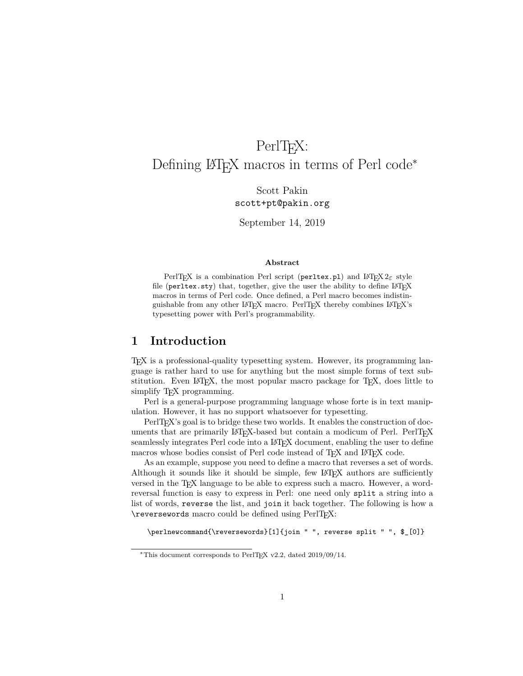## PerlT<sub>EX</sub>:

## <span id="page-0-0"></span>Defining LATEX macros in terms of Perl code<sup>∗</sup>

Scott Pakin scott+pt@pakin.org

September 14, 2019

#### **Abstract**

PerlT<sub>E</sub>X is a combination Perl script (perltex.pl) and L<sup>AT</sup>E<sub>X</sub> 2<sub>ε</sub> style file (perltex.sty) that, together, give the user the ability to define LATEX macros in terms of Perl code. Once defined, a Perl macro becomes indistinguishable from any other LATEX macro. PerlTEX thereby combines LATEX's typesetting power with Perl's programmability.

## **1 Introduction**

TEX is a professional-quality typesetting system. However, its programming language is rather hard to use for anything but the most simple forms of text substitution. Even LAT<sub>E</sub>X, the most popular macro package for T<sub>E</sub>X, does little to simplify T<sub>E</sub>X programming.

Perl is a general-purpose programming language whose forte is in text manipulation. However, it has no support whatsoever for typesetting.

PerlT<sub>E</sub>X's goal is to bridge these two worlds. It enables the construction of documents that are primarily LATEX-based but contain a modicum of Perl. PerlTEX seamlessly integrates Perl code into a LATEX document, enabling the user to define macros whose bodies consist of Perl code instead of T<sub>E</sub>X and LAT<sub>E</sub>X code.

As an example, suppose you need to define a macro that reverses a set of words. Although it sounds like it should be simple, few LATEX authors are sufficiently versed in the TEX language to be able to express such a macro. However, a wordreversal function is easy to express in Perl: one need only split a string into a list of words, reverse the list, and join it back together. The following is how a \reversewords macro could be defined using PerlTEX:

\perlnewcommand{\reversewords}[1]{join " ", reverse split " ", \$\_[0]}

<sup>∗</sup>This document corresponds to PerlTEX v2.2, dated 2019/09/14.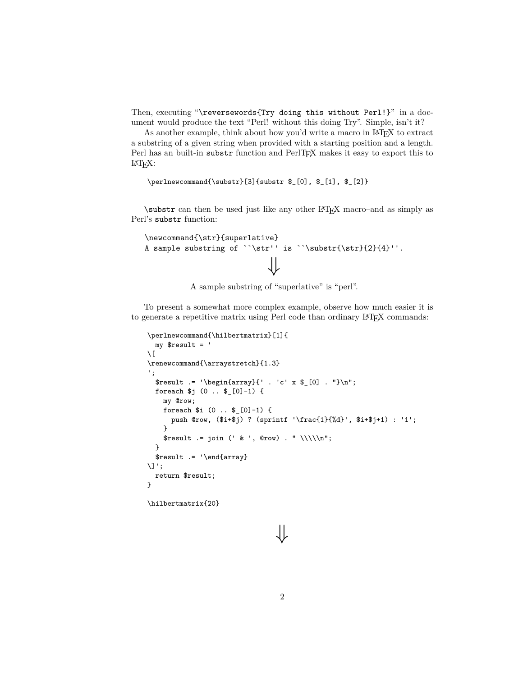Then, executing "\reversewords{Try doing this without Perl!}" in a document would produce the text "Perl! without this doing Try". Simple, isn't it?

As another example, think about how you'd write a macro in LAT<sub>EX</sub> to extract a substring of a given string when provided with a starting position and a length. Perl has an built-in substr function and PerlT<sub>EX</sub> makes it easy to export this to LATEX:

\perlnewcommand{\substr}[3]{substr \$\_[0], \$\_[1], \$\_[2]}

\substr can then be used just like any other LATEX macro–and as simply as Perl's substr function:

```
\newcommand{\str}{superlative}
A sample substring of ``\str'' is ``\substr{\str}{2}{4}''.
                           ⇓
```
A sample substring of "superlative" is "perl".

To present a somewhat more complex example, observe how much easier it is to generate a repetitive matrix using Perl code than ordinary LAT<sub>EX</sub> commands:

```
\perlnewcommand{\hilbertmatrix}[1]{
  my $result = '
\setminus[
\renewcommand{\arraystretch}{1.3}
';
  {\text{array}}{'.\; 'c' \; x \; {\text{\thinspace}0} \; .\; ''}\nforeach $j (0 .. $_[0]-1) {
    my @row;
    foreach $i (0 .. $_[0]-1) {
      push @row, ($i+$j) ? (sprintf '\frac{1}{%d}', $i+$j+1) : '1';
    }
    $result := join (' & ', @row) . " \\\\\n";
  }
  $result .= '\end{array}
\Upsilon:
  return $result;
}
\hilbertmatrix{20}
```
# ⇓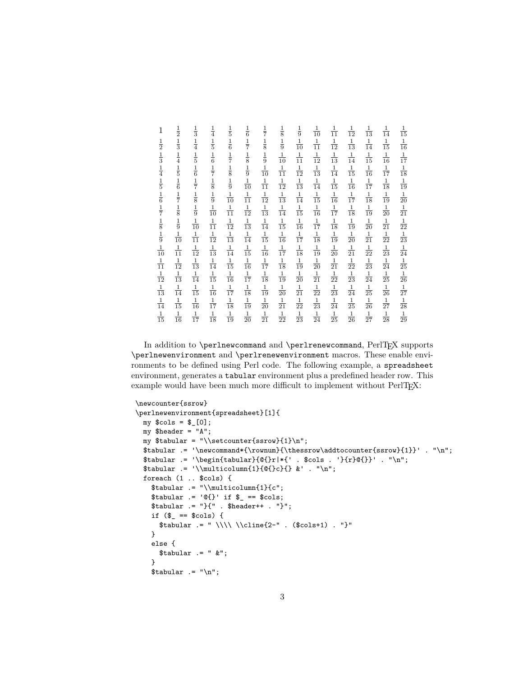| 1              | $\frac{1}{2}$  | $\frac{1}{3}$  | $\frac{1}{4}$  | $\frac{1}{5}$  | $\frac{1}{6}$                                               | $\frac{1}{7}$  | $\frac{1}{8}$                 | $\frac{1}{9}$  | $\frac{1}{10}$ | $\frac{1}{11}$ | $\frac{1}{12}$ | $\frac{1}{13}$ | $\frac{1}{14}$ | $\frac{1}{15}$ |
|----------------|----------------|----------------|----------------|----------------|-------------------------------------------------------------|----------------|-------------------------------|----------------|----------------|----------------|----------------|----------------|----------------|----------------|
| $\frac{1}{2}$  | $\frac{1}{3}$  | $\frac{1}{4}$  | $\frac{1}{5}$  | $\frac{1}{6}$  | $\frac{1}{7}$                                               | $\frac{1}{8}$  | $\frac{1}{9}$                 | $\frac{1}{10}$ | $\frac{1}{11}$ | $\frac{1}{12}$ | $\frac{1}{13}$ | $\frac{1}{14}$ | $\frac{1}{15}$ | $\frac{1}{16}$ |
| $\frac{1}{3}$  | $\frac{1}{4}$  | $\frac{1}{5}$  | $\frac{1}{6}$  | $\frac{1}{7}$  | $\frac{1}{8}$                                               | $\frac{1}{9}$  | $\frac{1}{10}$                | $\frac{1}{11}$ | $\frac{1}{12}$ | $\frac{1}{13}$ | $\frac{1}{14}$ | $\frac{1}{15}$ | $\frac{1}{16}$ | $\frac{1}{17}$ |
| $\frac{1}{4}$  | $\frac{1}{5}$  | $\frac{1}{6}$  | $\frac{1}{7}$  | $\frac{1}{8}$  | $\frac{1}{9}$                                               | $\frac{1}{10}$ | $\frac{1}{11}$                | $\frac{1}{12}$ | $\frac{1}{13}$ | $\frac{1}{14}$ | $\frac{1}{15}$ | $\frac{1}{16}$ | $\frac{1}{17}$ | $\frac{1}{18}$ |
| $\frac{1}{5}$  | $\frac{1}{6}$  | $\frac{1}{7}$  | $\frac{1}{8}$  | $\frac{1}{9}$  | $\frac{1}{10}$                                              | $\frac{1}{11}$ | $\frac{1}{12}$                | $\frac{1}{13}$ | $\frac{1}{14}$ | $\frac{1}{15}$ | $\frac{1}{16}$ | $\frac{1}{17}$ | $\frac{1}{18}$ | $\frac{1}{19}$ |
| $\frac{1}{6}$  | $\frac{1}{7}$  | $\frac{1}{8}$  | $\frac{1}{9}$  | $\frac{1}{10}$ | $\frac{1}{11}$                                              | $\frac{1}{12}$ | $\frac{1}{13}$                | $\frac{1}{14}$ | $\frac{1}{15}$ | $\frac{1}{16}$ | $\frac{1}{17}$ | $\frac{1}{18}$ | $\frac{1}{19}$ | $\frac{1}{20}$ |
| $\frac{1}{7}$  | $\frac{1}{8}$  | $\frac{1}{9}$  | $\frac{1}{10}$ | $\frac{1}{11}$ | $\frac{1}{12}$                                              | $\frac{1}{13}$ | $\frac{1}{14}$                | $\frac{1}{15}$ | $\frac{1}{16}$ | $\frac{1}{17}$ | $\frac{1}{18}$ | $\frac{1}{19}$ | $\frac{1}{20}$ | $\frac{1}{21}$ |
| $\frac{1}{8}$  | $\frac{1}{9}$  | $\frac{1}{10}$ | $\frac{1}{11}$ | $\frac{1}{12}$ |                                                             | $\frac{1}{14}$ |                               | $\frac{1}{16}$ | $\frac{1}{17}$ | $\frac{1}{18}$ | $\frac{1}{19}$ | $\frac{1}{20}$ | $\frac{1}{21}$ | $\frac{1}{22}$ |
| $\frac{1}{9}$  | $\frac{1}{10}$ | $\frac{1}{11}$ | $\frac{1}{12}$ | $\frac{1}{13}$ | $\begin{array}{c} \frac{1}{13} \\ \frac{1}{14} \end{array}$ | $\frac{1}{15}$ | $\frac{1}{15}$ $\frac{1}{16}$ | $\frac{1}{17}$ | $\frac{1}{18}$ | $\frac{1}{19}$ | $\frac{1}{20}$ | $\frac{1}{21}$ | $\frac{1}{22}$ | $\frac{1}{23}$ |
| $\frac{1}{10}$ | $\frac{1}{11}$ | $\frac{1}{12}$ | $\frac{1}{13}$ | $\frac{1}{14}$ | $\frac{1}{15}$                                              | $\frac{1}{16}$ | $\frac{1}{17}$                | $\frac{1}{18}$ | $\frac{1}{19}$ | $\frac{1}{20}$ | $\frac{1}{21}$ | $\frac{1}{22}$ | $\frac{1}{23}$ | $\frac{1}{24}$ |
| $\frac{1}{11}$ | $\frac{1}{12}$ | $\frac{1}{13}$ | $\frac{1}{14}$ | $\frac{1}{15}$ | $\frac{1}{16}$                                              | $\frac{1}{17}$ | $\frac{1}{18}$                | $\frac{1}{19}$ | $\frac{1}{20}$ | $\frac{1}{21}$ | $\frac{1}{22}$ | $\frac{1}{23}$ | $\frac{1}{24}$ | $\frac{1}{25}$ |
| $\frac{1}{12}$ | $\frac{1}{13}$ | $\frac{1}{14}$ | $\frac{1}{15}$ | $\frac{1}{16}$ | $\frac{1}{17}$                                              | $\frac{1}{18}$ | $\frac{1}{19}$                | $\frac{1}{20}$ | $\frac{1}{21}$ | $\frac{1}{22}$ | $\frac{1}{23}$ | $\frac{1}{24}$ | $\frac{1}{25}$ | $\frac{1}{26}$ |
| $\frac{1}{13}$ | $\frac{1}{14}$ | $\frac{1}{15}$ | $\frac{1}{16}$ | $\frac{1}{17}$ | $\frac{1}{18}$                                              | $\frac{1}{19}$ | $\frac{1}{20}$                | $\frac{1}{21}$ | $\frac{1}{22}$ | $\frac{1}{23}$ | $\frac{1}{24}$ | $\frac{1}{25}$ | $\frac{1}{26}$ | $\frac{1}{27}$ |
| $\frac{1}{14}$ | $\frac{1}{15}$ | $\frac{1}{16}$ | $\frac{1}{17}$ | $\frac{1}{18}$ | $\frac{1}{19}$                                              | $\frac{1}{20}$ | $\frac{1}{21}$                | $\frac{1}{22}$ | $\frac{1}{23}$ | $\frac{1}{24}$ | $\frac{1}{25}$ | $\frac{1}{26}$ | $\frac{1}{27}$ | $\frac{1}{28}$ |
| $\frac{1}{15}$ | $\frac{1}{16}$ | $\frac{1}{17}$ | $\frac{1}{18}$ | $\frac{1}{19}$ | $\frac{1}{20}$                                              | $\frac{1}{21}$ | $\frac{1}{22}$                | $\frac{1}{23}$ | $\frac{1}{24}$ | $\frac{1}{25}$ | $\frac{1}{26}$ | $\frac{1}{27}$ | $\frac{1}{28}$ | $\frac{1}{29}$ |

In addition to **\perlnewcommand** and **\perlrenewcommand**, PerlTEX supports \perlnewenvironment and \perlrenewenvironment macros. These enable environments to be defined using Perl code. The following example, a spreadsheet environment, generates a tabular environment plus a predefined header row. This example would have been much more difficult to implement without PerlT<sub>E</sub>X:

```
\newcounter{ssrow}
\perlnewenvironment{spreadsheet}[1]{
 my $cols = $_[0];
  my $header = "A";
  my $tabular = "\\setcounter{ssrow}{1}\n";
  \label{th:conv} $$\tabular = '\newcommand*{\row}{\thessrow\addtocounter{ssrow}{1}}' . "\n";$tabular .= '\begin{tabular}{@{}r|*{' . $cols . '}{r}@{}}' . "\n";
  $tabular .= '\\multicolumn{1}{@{}c}{} &' . "\n";
  foreach (1 .. $cols) {
    $tabular .= "\\multicolumn{1}{c";
    $tabular = '@{}' if $ = = $cols;$tabular .= "}{" . $header++ . "}";
    if ($ = = $cols) { }$tabular = " \\\\\ \&cline{2-" . ($cols+1) . "}"}
    else {
      \text{\$tabular} .= " \& ";
    }
    $tabular = "\n";
```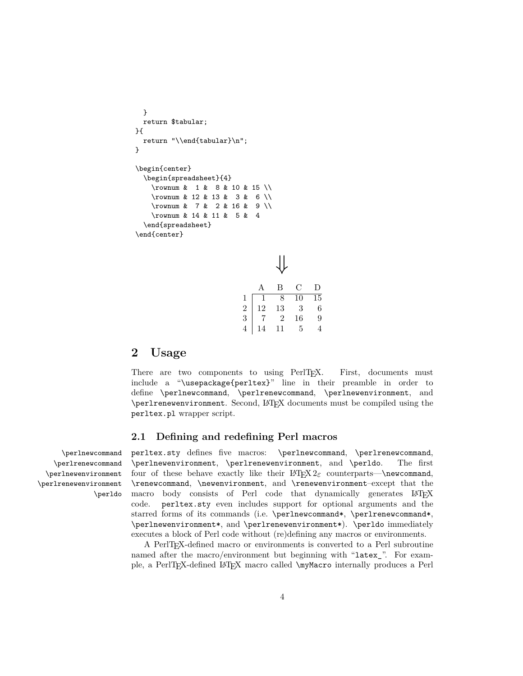```
}
  return $tabular;
}{
  return "\\end{tabular}\n";
}
\begin{center}
  \begin{spreadsheet}{4}
    \rownum & 1 & 8 & 10 & 15 \\
    \rownum & 12 & 13 & 3 & 6 \\
    \rownum & 7 & 2 & 16 & 9 \\
    \rownum & 14 & 11 & 5 & 4
  \end{spreadsheet}
\end{center}
```

|                | A  | В              | С  | D               |
|----------------|----|----------------|----|-----------------|
| 1              |    | 8              | 10 | $\overline{15}$ |
| $\overline{2}$ | 12 | 13             | 3  | 6               |
| 3              |    | $\overline{2}$ | 16 | 9               |
|                | l4 | 11             | 5  |                 |

## **2 Usage**

There are two components to using PerlT<sub>E</sub>X. First, documents must include a "\usepackage{perltex}" line in their preamble in order to define \perlnewcommand, \perlrenewcommand, \perlnewenvironment, and \perlrenewenvironment. Second, LATEX documents must be compiled using the perltex.pl wrapper script.

## **2.1 Defining and redefining Perl macros**

\perlrenewcommand \perlnewenvironment \perlrenewenvironment \perldo

\perlnewcommand perltex.sty defines five macros: \perlnewcommand, \perlrenewcommand, \perlnewenvironment, \perlrenewenvironment, and \perldo. The first four of these behave exactly like their  $\text{LATEX } 2\varepsilon$  counterparts—\newcommand, \renewcommand, \newenvironment, and \renewenvironment–except that the macro body consists of Perl code that dynamically generates LATEX code. perltex.sty even includes support for optional arguments and the starred forms of its commands (i.e. \perlnewcommand\*, \perlrenewcommand\*, \perlnewenvironment\*, and \perlrenewenvironment\*). \perldo immediately executes a block of Perl code without (re)defining any macros or environments.

> A PerlTEX-defined macro or environments is converted to a Perl subroutine named after the macro/environment but beginning with "latex\_". For example, a PerlTEX-defined LATEX macro called \myMacro internally produces a Perl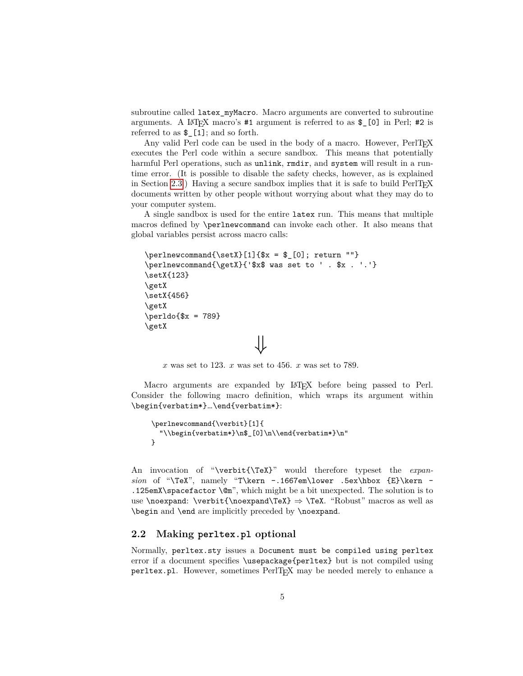subroutine called latex\_myMacro. Macro arguments are converted to subroutine arguments. A LAT<sub>E</sub>X macro's  $#1$  argument is referred to as  $\mathcal{L}[0]$  in Perl;  $#2$  is referred to as \$\_[1]; and so forth.

Any valid Perl code can be used in the body of a macro. However,  $PerlTeX$ executes the Perl code within a secure sandbox. This means that potentially harmful Perl operations, such as unlink, rmdir, and system will result in a runtime error. (It is possible to disable the safety checks, however, as is explained in Section [2.3.](#page-5-0)) Having a secure sandbox implies that it is safe to build  $PerITFX$ documents written by other people without worrying about what they may do to your computer system.

A single sandbox is used for the entire latex run. This means that multiple macros defined by \perlnewcommand can invoke each other. It also means that global variables persist across macro calls:

```
\perlnewcommand{\setX}[1]{$x = $ [0]; return ""}
\perlnewcommand{\getX}{'$x$ was set to ' . $x . '.'}
\setX{123}
\getX
\setX{456}
\getX
\perp \perldo{$x = 789}
\getX
                          ⇓
```
 $x$  was set to 123.  $x$  was set to 456.  $x$  was set to 789.

Macro arguments are expanded by LAT<sub>EX</sub> before being passed to Perl. Consider the following macro definition, which wraps its argument within \begin{verbatim\*}…\end{verbatim\*}:

```
\perlnewcommand{\verbit}[1]{
  "\\begin{verbatim*}\n$_[0]\n\\end{verbatim*}\n"
}
```
An invocation of "\verbit{\TeX}" would therefore typeset the *expansion* of "\TeX", namely "T\kern -.1667em\lower .5ex\hbox {E}\kern - .125emX\spacefactor \@m", which might be a bit unexpected. The solution is to use \noexpand: \verbit{\noexpand\TeX}  $\Rightarrow$  \TeX. "Robust" macros as well as \begin and \end are implicitly preceded by \noexpand.

## **2.2 Making perltex.pl optional**

Normally, perltex.sty issues a Document must be compiled using perltex error if a document specifies \usepackage{perltex} but is not compiled using perltex.pl. However, sometimes PerlT<sub>E</sub>X may be needed merely to enhance a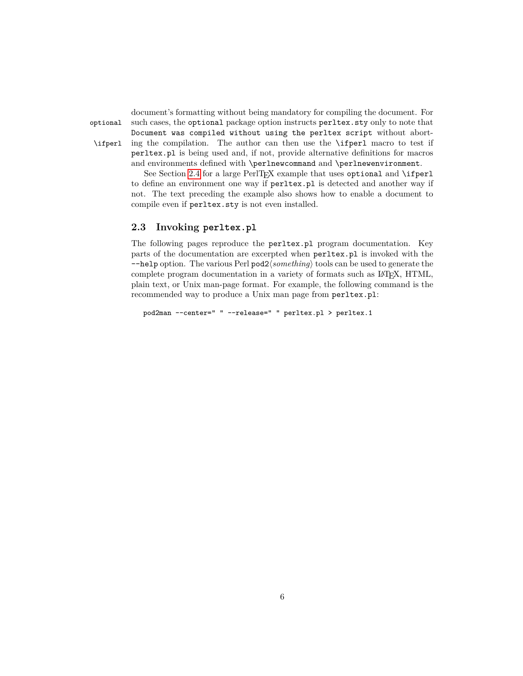<span id="page-5-1"></span>document's formatting without being mandatory for compiling the document. For optional such cases, the optional package option instructs perltex.sty only to note that Document was compiled without using the perltex script without abort- \ifperl ing the compilation. The author can then use the \ifperl macro to test if perltex.pl is being used and, if not, provide alternative definitions for macros and environments defined with \perlnewcommand and \perlnewenvironment.

> See Section [2.4](#page-9-0) for a large PerlTFX example that uses optional and \ifperl to define an environment one way if perltex.pl is detected and another way if not. The text preceding the example also shows how to enable a document to compile even if perltex.sty is not even installed.

## <span id="page-5-0"></span>**2.3 Invoking perltex.pl**

The following pages reproduce the perltex.pl program documentation. Key parts of the documentation are excerpted when perltex.pl is invoked with the  $-\text{help option.}$  The various Perl pod2 $\langle something \rangle$  tools can be used to generate the complete program documentation in a variety of formats such as LATEX, HTML, plain text, or Unix man-page format. For example, the following command is the recommended way to produce a Unix man page from perltex.pl:

pod2man --center=" " --release=" " perltex.pl > perltex.1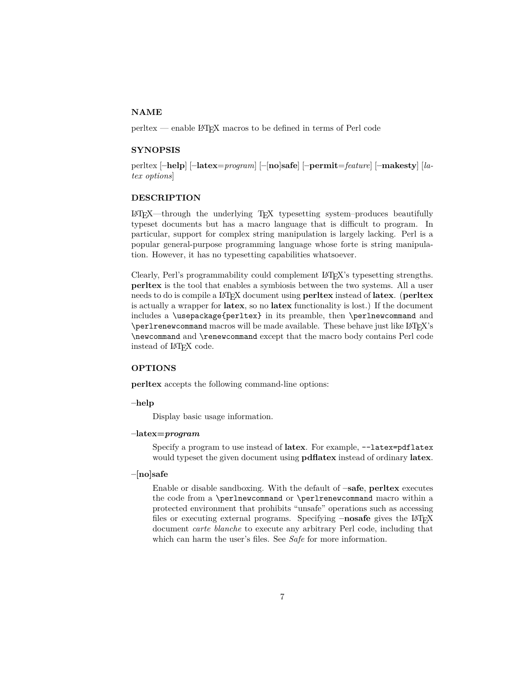## **NAME**

perltex — enable LATEX macros to be defined in terms of Perl code

#### **SYNOPSIS**

perltex [**–help**] [**–latex**=*program*] [**–**[**no**]**safe**] [**–permit**=*feature*] [**–makesty**] [*latex options*]

#### **DESCRIPTION**

LATEX—through the underlying TEX typesetting system–produces beautifully typeset documents but has a macro language that is difficult to program. In particular, support for complex string manipulation is largely lacking. Perl is a popular general-purpose programming language whose forte is string manipulation. However, it has no typesetting capabilities whatsoever.

Clearly, Perl's programmability could complement LATEX's typesetting strengths. **perltex** is the tool that enables a symbiosis between the two systems. All a user needs to do is compile a LATEX document using **perltex** instead of **latex**. (**perltex** is actually a wrapper for **latex**, so no **latex** functionality is lost.) If the document includes a \usepackage{perltex} in its preamble, then \perlnewcommand and  $\perp$   $\perp$   $\perp$   $\perp$   $\perp$   $\perp$   $\perp$   $\perp$   $\perp$   $\perp$   $\perp$   $\perp$   $\perp$   $\perp$   $\perp$   $\perp$   $\perp$   $\perp$   $\perp$   $\perp$   $\perp$   $\perp$   $\perp$   $\perp$   $\perp$   $\perp$   $\perp$   $\perp$   $\perp$   $\perp$   $\perp$   $\perp$   $\perp$   $\perp$   $\perp$   $\perp$   $\perp$ \newcommand and \renewcommand except that the macro body contains Perl code instead of LATEX code.

#### **OPTIONS**

**perltex** accepts the following command-line options:

#### **–help**

Display basic usage information.

#### **–latex=***program*

Specify a program to use instead of **latex**. For example, --latex=pdflatex would typeset the given document using **pdflatex** instead of ordinary **latex**.

## **–[no]safe**

Enable or disable sandboxing. With the default of **–safe**, **perltex** executes the code from a \perlnewcommand or \perlrenewcommand macro within a protected environment that prohibits "unsafe" operations such as accessing files or executing external programs. Specifying  $-\text{nosafe}$  gives the LAT<sub>E</sub>X document *carte blanche* to execute any arbitrary Perl code, including that which can harm the user's files. See *Safe* for more information.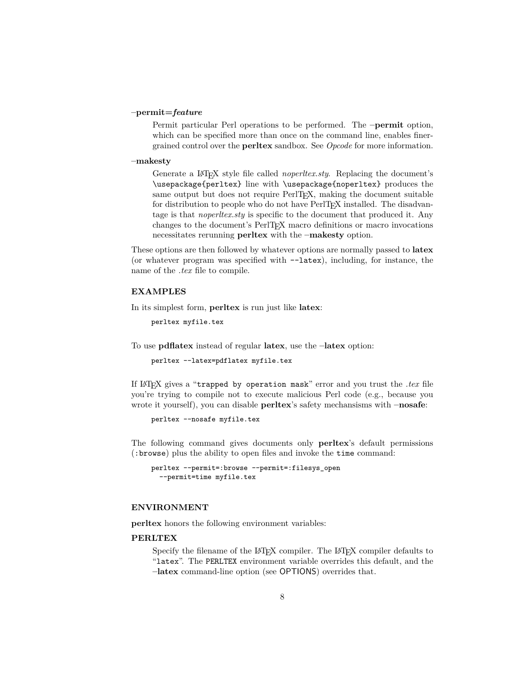#### **–permit=***feature*

Permit particular Perl operations to be performed. The **–permit** option, which can be specified more than once on the command line, enables finergrained control over the **perltex** sandbox. See *Opcode* for more information.

#### **–makesty**

Generate a LAT<sub>EX</sub> style file called *noperliex.sty*. Replacing the document's \usepackage{perltex} line with \usepackage{noperltex} produces the same output but does not require PerlT<sub>EX</sub>, making the document suitable for distribution to people who do not have PerlTEX installed. The disadvantage is that *noperltex.sty* is specific to the document that produced it. Any changes to the document's PerlT<sub>E</sub>X macro definitions or macro invocations necessitates rerunning **perltex** with the **–makesty** option.

These options are then followed by whatever options are normally passed to **latex** (or whatever program was specified with --latex), including, for instance, the name of the *.tex* file to compile.

## **EXAMPLES**

In its simplest form, **perltex** is run just like **latex**:

```
perltex myfile.tex
```
To use **pdflatex** instead of regular **latex**, use the **–latex** option:

```
perltex --latex=pdflatex myfile.tex
```
If LATEX gives a "trapped by operation mask" error and you trust the *.tex* file you're trying to compile not to execute malicious Perl code (e.g., because you wrote it yourself), you can disable **perltex**'s safety mechansisms with **–nosafe**:

perltex --nosafe myfile.tex

The following command gives documents only **perltex**'s default permissions (:browse) plus the ability to open files and invoke the time command:

```
perltex --permit=:browse --permit=:filesys_open
  --permit=time myfile.tex
```
## **ENVIRONMENT**

**perltex** honors the following environment variables:

#### **PERLTEX**

Specify the filename of the LAT<sub>EX</sub> compiler. The LAT<sub>EX</sub> compiler defaults to "latex". The PERLTEX environment variable overrides this default, and the **–latex** command-line option (see OPTIONS) overrides that.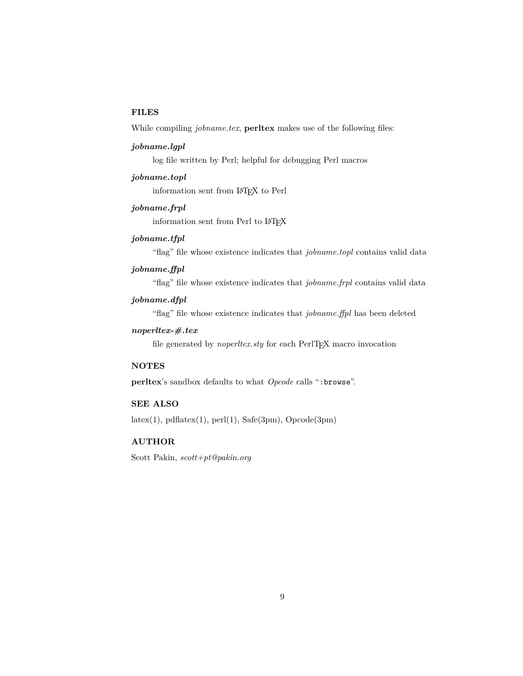## **FILES**

While compiling *jobname.tex*, **perltex** makes use of the following files:

#### *jobname.lgpl*

log file written by Perl; helpful for debugging Perl macros

#### *jobname.topl*

information sent from LATEX to Perl

## *jobname.frpl*

information sent from Perl to LATFX

## *jobname.tfpl*

"flag" file whose existence indicates that *jobname.topl* contains valid data

#### *jobname.ffpl*

"flag" file whose existence indicates that *jobname.frpl* contains valid data

## *jobname.dfpl*

"flag" file whose existence indicates that *jobname.ffpl* has been deleted

## *noperltex-#.tex*

file generated by *noperliex.sty* for each PerlT<sub>E</sub>X macro invocation

## **NOTES**

**perltex**'s sandbox defaults to what *Opcode* calls ":browse".

## **SEE ALSO**

 $\text{later}(1), \text{pdf}\text{ate}(1), \text{perf}(1), \text{Safe}(3\text{pm}), \text{Opcode}(3\text{pm})$ 

## **AUTHOR**

Scott Pakin, *scott+pt@pakin.org*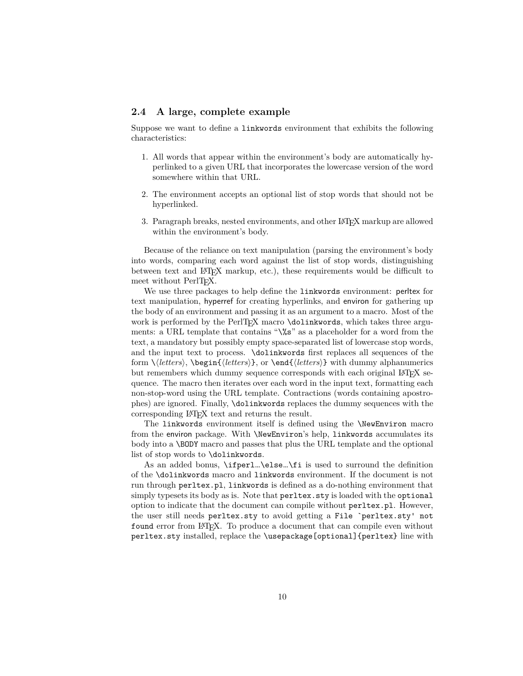## <span id="page-9-1"></span><span id="page-9-0"></span>**2.4 A large, complete example**

Suppose we want to define a linkwords environment that exhibits the following characteristics:

- 1. All words that appear within the environment's body are automatically hyperlinked to a given URL that incorporates the lowercase version of the word somewhere within that URL.
- 2. The environment accepts an optional list of stop words that should not be hyperlinked.
- 3. Paragraph breaks, nested environments, and other LATEX markup are allowed within the environment's body.

Because of the reliance on text manipulation (parsing the environment's body into words, comparing each word against the list of stop words, distinguishing between text and LATEX markup, etc.), these requirements would be difficult to meet without PerlTFX.

We use three packages to help define the linkwords environment: perltex for text manipulation, hyperref for creating hyperlinks, and environ for gathering up the body of an environment and passing it as an argument to a macro. Most of the work is performed by the PerlT<sub>EX</sub> macro \dolinkwords, which takes three arguments: a URL template that contains "\%s" as a placeholder for a word from the text, a mandatory but possibly empty space-separated list of lowercase stop words, and the input text to process. \dolinkwords first replaces all sequences of the form \h*letters*i, \begin{h*letters*i}, or \end{h*letters*i} with dummy alphanumerics but remembers which dummy sequence corresponds with each original LAT<sub>EX</sub> sequence. The macro then iterates over each word in the input text, formatting each non-stop-word using the URL template. Contractions (words containing apostrophes) are ignored. Finally, \dolinkwords replaces the dummy sequences with the corresponding LATEX text and returns the result.

The linkwords environment itself is defined using the \NewEnviron macro from the environ package. With \NewEnviron's help, linkwords accumulates its body into a \BODY macro and passes that plus the URL template and the optional list of stop words to \dolinkwords.

As an added bonus, \ifperl…\else…\fi is used to surround the definition of the \dolinkwords macro and linkwords environment. If the document is not run through perltex.pl, linkwords is defined as a do-nothing environment that simply typesets its body as is. Note that  $perl$ tex.sty is loaded with the optional option to indicate that the document can compile without perltex.pl. However, the user still needs perltex.sty to avoid getting a File `perltex.sty' not found error from LATEX. To produce a document that can compile even without perltex.sty installed, replace the \usepackage[optional]{perltex} line with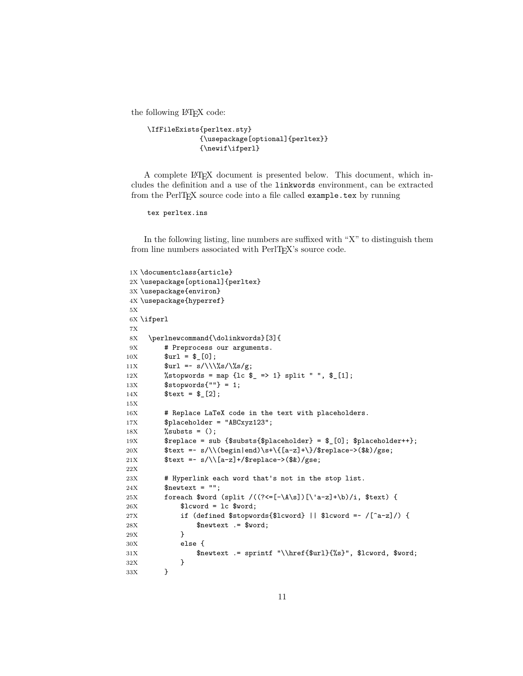the following LAT<sub>EX</sub> code:

```
\IfFileExists{perltex.sty}
             {\usepackage[optional]{perltex}}
             {\newif\ifperl}
```
A complete LATEX document is presented below. This document, which includes the definition and a use of the linkwords environment, can be extracted from the PerlT<sub>EX</sub> source code into a file called example.tex by running

tex perltex.ins

In the following listing, line numbers are suffixed with "X" to distinguish them from line numbers associated with PerlT<sub>E</sub>X's source code.

```
1X \documentclass{article}
2X \usepackage[optional]{perltex}
3X \usepackage{environ}
4X \usepackage{hyperref}
5X
6X \ifperl
7X
8X \perlnewcommand{\dolinkwords}[3]{
9X # Preprocess our arguments.
10X $url = $[0];11X \text{Surl} = \frac{s}{\sqrt{s}/\sqrt{s}}g;12X %stopwords = map {1c \ell => 1} split " ", \ell [1];
13X $stopwords{''''} = 1;14X $text = $12];15X
16X # Replace LaTeX code in the text with placeholders.
17X $placeholder = "ABCxyz123";
18X %substs = ();
19X $replace = sub \{\$substs{\$placeholder\} = \$ [0]; \$placeholder++\};20X $text = x/\\\(begin{array}{c} x + \frac{1}{2}x + \frac{1}{2}x + \frac{1}{2}x + \frac{1}{2}x + \frac{1}{2}x + \frac{1}{2}x + \frac{1}{2}x + \frac{1}{2}x + \frac{1}{2}x + \frac{1}{2}x + \frac{1}{2}x + \frac{1}{2}x + \frac{1}{2}x + \frac{1}{2}x + \frac{1}{2}x + \frac{1}{2}x + \frac{1}{2}x + \frac{1}{2}x + \frac{1}{2}x + \frac{1}{2}x + \frac{1}{2}x + \frac{1}{2}x + \frac{21X $text = x/\lceil{a-z}\rceil + /$replace->($x)/gse;22X
23X # Hyperlink each word that's not in the stop list.
24X $newtext = ";
25X foreach $word (split /((?<=[-\A\s])[\'a-z]+\b)/i, $text) {
26X $1cword = 1c $word;27X if (defined $stopwords{$lcword} || $lcword =~ /[^a-z]/) {
28X $newtext .= $word;
29X }
30X else {
31X $newtext .= sprintf "\\href{$url}{%s}", $lcword, $word;
32X }
33X }
```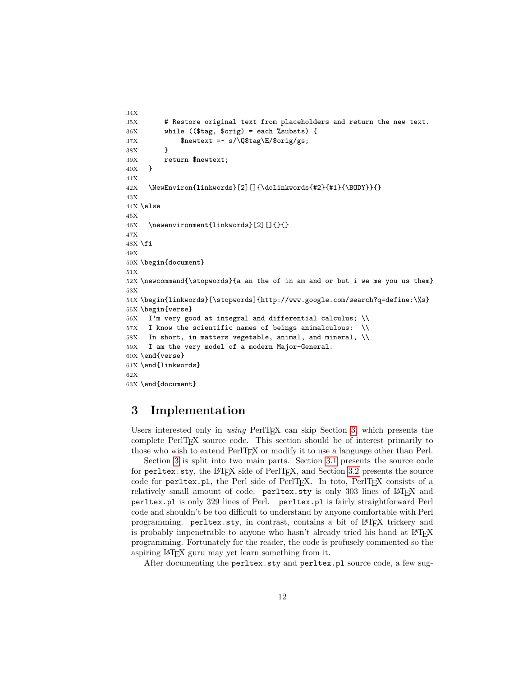```
34X
35X # Restore original text from placeholders and return the new text.
36X while (($tag, $orig) = each %substs) {
37X $newtext =~ s/\Q$tag\E/$orig/gs;
38X }
39X return $newtext;
40X }
41X
42X \NewEnviron{linkwords}[2][]{\dolinkwords{#2}{#1}{\BODY}}{}
43X
44X \else
45X
46X \newenvironment{linkwords}[2][]{}{}
47X
48X \ fi
49X
50X \begin{document}
51X
52X \newcommand{\stopwords}{a an the of in am and or but i we me you us them}
53X
54X \begin{linkwords}[\stopwords]{http://www.google.com/search?q=define:\%s}
55X \begin{verse}
56X I'm very good at integral and differential calculus; \\
57X I know the scientific names of beings animalculous: \\
58X In short, in matters vegetable, animal, and mineral, \\
59X I am the very model of a modern Major-General.
60X \end{verse}
61X \end{linkwords}
62X
63X \end{document}
```
## <span id="page-11-0"></span>**3 Implementation**

Users interested only in *using* PerlT<sub>EX</sub> can skip Section [3,](#page-11-0) which presents the complete PerlTEX source code. This section should be of interest primarily to those who wish to extend PerlT<sub>EX</sub> or modify it to use a language other than Perl.

Section [3](#page-11-0) is split into two main parts. Section [3.1](#page-12-0) presents the source code for perltex.sty, the LATEX side of PerlTEX, and Section [3.2](#page-26-0) presents the source code for perltex.pl, the Perl side of PerlT<sub>EX</sub>. In toto, PerlT<sub>EX</sub> consists of a relatively small amount of code. perltex.sty is only 303 lines of LATEX and perltex.pl is only 329 lines of Perl. perltex.pl is fairly straightforward Perl code and shouldn't be too difficult to understand by anyone comfortable with Perl programming. perltex.sty, in contrast, contains a bit of LATEX trickery and is probably impenetrable to anyone who hasn't already tried his hand at LAT<sub>EX</sub> programming. Fortunately for the reader, the code is profusely commented so the aspiring LATEX guru may yet learn something from it.

After documenting the perltex.sty and perltex.pl source code, a few sug-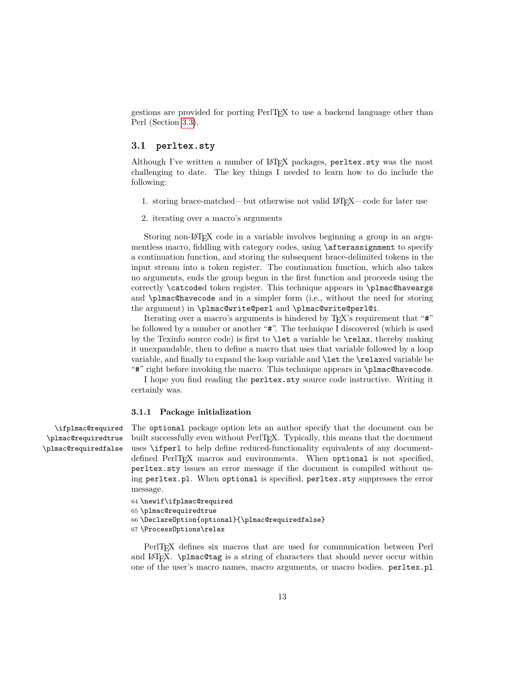gestions are provided for porting PerlTEX to use a backend language other than Perl (Section [3.3\)](#page-39-0).

#### <span id="page-12-0"></span>**3.1 perltex.sty**

Although I've written a number of LAT<sub>EX</sub> packages, perltex.sty was the most challenging to date. The key things I needed to learn how to do include the following:

- 1. storing brace-matched—but otherwise not valid LATEX—code for later use
- 2. iterating over a macro's arguments

Storing non-LAT<sub>EX</sub> code in a variable involves beginning a group in an argumentless macro, fiddling with category codes, using \afterassignment to specify a continuation function, and storing the subsequent brace-delimited tokens in the input stream into a token register. The continuation function, which also takes no arguments, ends the group begun in the first function and proceeds using the correctly \catcoded token register. This technique appears in \plmac@haveargs and \plmac@havecode and in a simpler form (i.e., without the need for storing the argument) in \plmac@write@perl and \plmac@write@perl@i.

Iterating over a macro's arguments is hindered by TEX's requirement that "#" be followed by a number or another "#". The technique I discovered (which is used by the Texinfo source code) is first to \let a variable be \relax, thereby making it unexpandable, then to define a macro that uses that variable followed by a loop variable, and finally to expand the loop variable and \let the \relaxed variable be "#" right before invoking the macro. This technique appears in \plmac@havecode.

I hope you find reading the perltex.sty source code instructive. Writing it certainly was.

#### **3.1.1 Package initialization**

\ifplmac@required \plmac@requiredtrue \plmac@requiredfalse

The optional package option lets an author specify that the document can be built successfully even without PerlT<sub>EX</sub>. Typically, this means that the document uses \ifperl to help define reduced-functionality equivalents of any documentdefined PerlT<sub>EX</sub> macros and environments. When optional is not specified, perltex.sty issues an error message if the document is compiled without using perltex.pl. When optional is specified, perltex.sty suppresses the error message.

- 64 \newif\ifplmac@required
- 65 \plmac@requiredtrue
- 66 \DeclareOption{optional}{\plmac@requiredfalse}
- 67 \ProcessOptions\relax

PerlT<sub>EX</sub> defines six macros that are used for communication between Perl and LATEX. \plmac@tag is a string of characters that should never occur within one of the user's macro names, macro arguments, or macro bodies. perltex.pl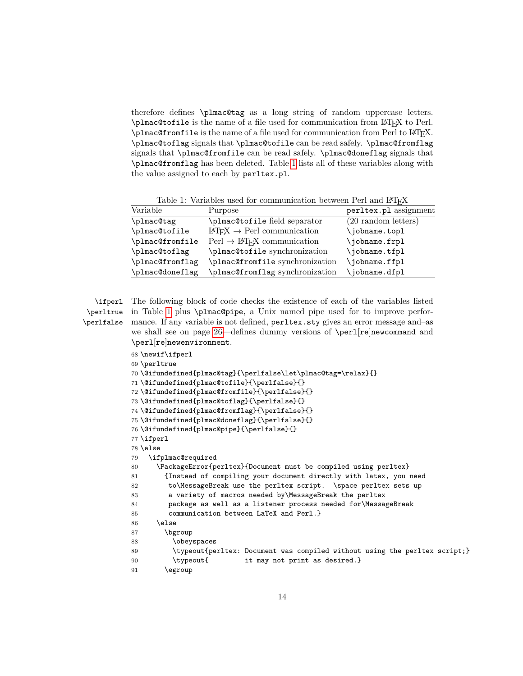<span id="page-13-1"></span>therefore defines \plmac@tag as a long string of random uppercase letters.  $\phi$  and  $\phi$  is the name of a file used for communication from LAT<sub>E</sub>X to Perl. \plmac@fromfile is the name of a file used for communication from Perl to LATEX. \plmac@toflag signals that \plmac@tofile can be read safely. \plmac@fromflag signals that \plmac@fromfile can be read safely. \plmac@doneflag signals that \plmac@fromflag has been deleted. Table [1](#page-13-0) lists all of these variables along with the value assigned to each by perltex.pl.

<span id="page-13-0"></span>Table 1: Variables used for communication between Perl and LATEX

| Variable        | Purpose                                               | perltex.pl assignment         |
|-----------------|-------------------------------------------------------|-------------------------------|
| \plmac@tag      | \plmac@tofile field separator                         | $(20 \text{ random letters})$ |
| \plmac@tofile   | $IAT$ <sub>F</sub> X $\rightarrow$ Perl communication | \jobname.topl                 |
| \plmac@fromfile | $Perl \rightarrow \text{IATFX}$ communication         | \jobname.frpl                 |
| \plmac@toflag   | \plmac@tofile synchronization                         | \jobname.tfpl                 |
| \plmac@fromflag | \plmac@fromfile synchronization                       | \jobname.ffpl                 |
| \plmac@doneflag | \plmac@fromflag synchronization                       | \jobname.dfpl                 |

\perlfalse

\ifperl The following block of code checks the existence of each of the variables listed \perltrue in Table [1](#page-13-0) plus \plmac@pipe, a Unix named pipe used for to improve performance. If any variable is not defined, perltex.sty gives an error message and–as we shall see on page [26—](#page-23-0)defines dummy versions of \perl[re]newcommand and \perl[re]newenvironment.

```
68 \newif\ifperl
69 \perltrue
70 \@ifundefined{plmac@tag}{\perlfalse\let\plmac@tag=\relax}{}
71 \@ifundefined{plmac@tofile}{\perlfalse}{}
72 \@ifundefined{plmac@fromfile}{\perlfalse}{}
73 \@ifundefined{plmac@toflag}{\perlfalse}{}
74 \@ifundefined{plmac@fromflag}{\perlfalse}{}
75 \@ifundefined{plmac@doneflag}{\perlfalse}{}
76 \@ifundefined{plmac@pipe}{\perlfalse}{}
77 \ifperl
78 \else
79 \ifplmac@required
80 \PackageError{perltex}{Document must be compiled using perltex}
81 {Instead of compiling your document directly with latex, you need
82 to\MessageBreak use the perltex script. \space perltex sets up
83 a variety of macros needed by\MessageBreak the perltex
84 package as well as a listener process needed for\MessageBreak
85 communication between LaTeX and Perl.}
86 \else
87 \bgroup
88 \obeyspaces
89 \typeout{perltex: Document was compiled without using the perltex script;}
90 \typeout{ it may not print as desired.}
91 \egroup
```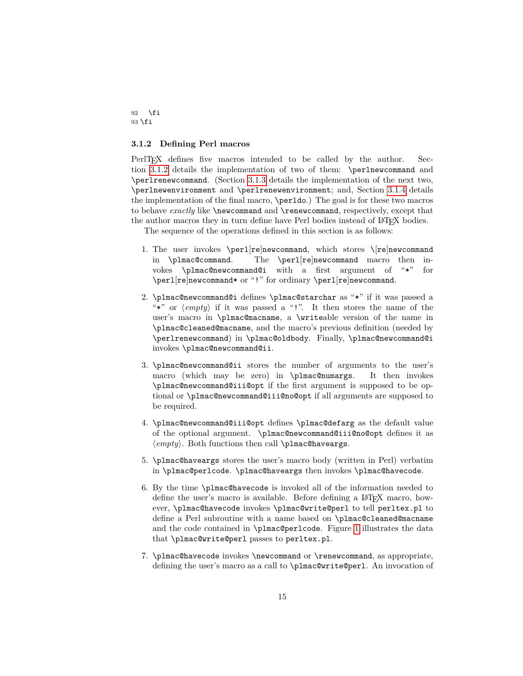92  $\forall$ fi 93 \fi

#### <span id="page-14-0"></span>**3.1.2 Defining Perl macros**

PerlTFX defines five macros intended to be called by the author. Section [3.1.2](#page-14-0) details the implementation of two of them: \perlnewcommand and \perlrenewcommand. (Section [3.1.3](#page-20-0) details the implementation of the next two, \perlnewenvironment and \perlrenewenvironment; and, Section [3.1.4](#page-22-0) details the implementation of the final macro, \perldo.) The goal is for these two macros to behave *exactly* like **\newcommand** and **\renewcommand**, respectively, except that the author macros they in turn define have Perl bodies instead of LATEX bodies.

The sequence of the operations defined in this section is as follows:

- 1. The user invokes \perl[re]newcommand, which stores \[re]newcommand in \plmac@command. The \perl[re]newcommand macro then invokes \plmac@newcommand@i with a first argument of "\*" for \perl[re]newcommand\* or "!" for ordinary \perl[re]newcommand.
- 2. \plmac@newcommand@i defines \plmac@starchar as "\*" if it was passed a "\*" or  $\langle empty \rangle$  if it was passed a "!". It then stores the name of the user's macro in \plmac@macname, a \writeable version of the name in \plmac@cleaned@macname, and the macro's previous definition (needed by \perlrenewcommand) in \plmac@oldbody. Finally, \plmac@newcommand@i invokes \plmac@newcommand@ii.
- 3. \plmac@newcommand@ii stores the number of arguments to the user's macro (which may be zero) in \plmac@numargs. It then invokes \plmac@newcommand@iii@opt if the first argument is supposed to be optional or \plmac@newcommand@iii@no@opt if all arguments are supposed to be required.
- 4. \plmac@newcommand@iii@opt defines \plmac@defarg as the default value of the optional argument. \plmac@newcommand@iii@no@opt defines it as  $\langle empty\rangle$ . Both functions then call **\plmac@haveargs.**
- 5. \plmac@haveargs stores the user's macro body (written in Perl) verbatim in \plmac@perlcode. \plmac@haveargs then invokes \plmac@havecode.
- 6. By the time \plmac@havecode is invoked all of the information needed to define the user's macro is available. Before defining a LAT<sub>E</sub>X macro, however, \plmac@havecode invokes \plmac@write@perl to tell perltex.pl to define a Perl subroutine with a name based on \plmac@cleaned@macname and the code contained in \plmac@perlcode. Figure [1](#page-15-0) illustrates the data that \plmac@write@perl passes to perltex.pl.
- 7. \plmac@havecode invokes \newcommand or \renewcommand, as appropriate, defining the user's macro as a call to \plmac@write@perl. An invocation of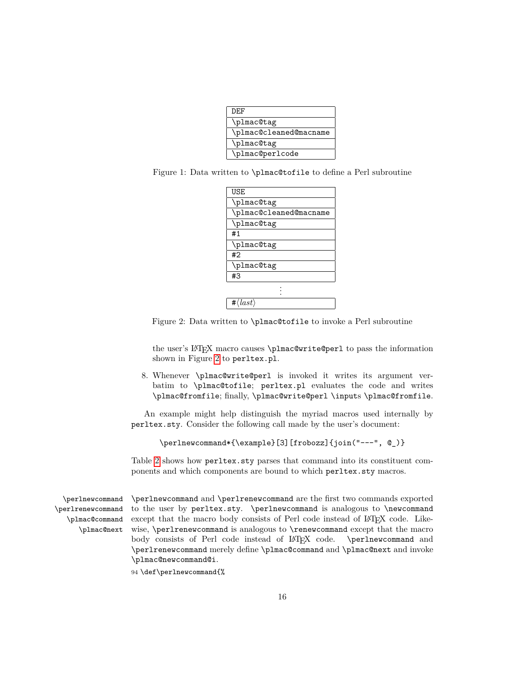| DEF                    |
|------------------------|
| \plmac@tag             |
| \plmac@cleaned@macname |
| \plmac@tag             |
| \plmac@perlcode        |

<span id="page-15-2"></span><span id="page-15-0"></span>Figure 1: Data written to \plmac@tofile to define a Perl subroutine

| <b>USE</b>                  |
|-----------------------------|
| \plmac@tag                  |
| \plmac@cleaned@macname      |
| \plmac@tag                  |
| #1                          |
| \plmac@tag                  |
| #2                          |
| \plmac@tag                  |
| #3                          |
|                             |
|                             |
| $\langle last \rangle$<br># |

<span id="page-15-1"></span>Figure 2: Data written to \plmac@tofile to invoke a Perl subroutine

the user's LAT<sub>E</sub>X macro causes \plmac@write@perl to pass the information shown in Figure [2](#page-15-1) to perltex.pl.

8. Whenever \plmac@write@perl is invoked it writes its argument verbatim to \plmac@tofile; perltex.pl evaluates the code and writes \plmac@fromfile; finally, \plmac@write@perl \inputs \plmac@fromfile.

An example might help distinguish the myriad macros used internally by perltex.sty. Consider the following call made by the user's document:

```
\perlnewcommand*{\example}[3][frobozz]{join("---", @_)}
```
Table [2](#page-16-0) shows how perltex.sty parses that command into its constituent components and which components are bound to which perltex.sty macros.

\perlnewcommand \perlrenewcommand \plmac@command \plmac@next

\perlnewcommand and \perlrenewcommand are the first two commands exported to the user by perltex.sty. \perlnewcommand is analogous to \newcommand except that the macro body consists of Perl code instead of LATEX code. Likewise, \perlrenewcommand is analogous to \renewcommand except that the macro body consists of Perl code instead of LATEX code. \perlnewcommand and \perlrenewcommand merely define \plmac@command and \plmac@next and invoke \plmac@newcommand@i.

<sup>94</sup> \def\perlnewcommand{%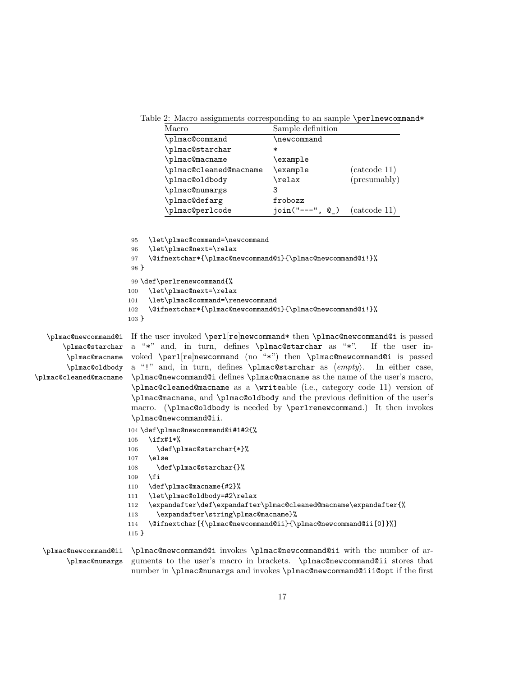Table 2: Macro assignments corresponding to an sample \perlnewcommand\*

<span id="page-16-0"></span>

| Macro                  | Sample definition |              |
|------------------------|-------------------|--------------|
| \plmac@command         | \newcommand       |              |
| \plmac@starchar        | ∗                 |              |
| \plmac@macname         | \example          |              |
| \plmac@cleaned@macname | \example          | (catcode 11) |
| \plmac@oldbody         | $\verb \relax $   | (presumably) |
| \plmac@numargs         | З                 |              |
| \plmac@defarg          | frobozz           |              |
| \plmac@perlcode        | $join("---", @$   | (catcode 11) |

```
95 \let\plmac@command=\newcommand
                       96 \let\plmac@next=\relax
                       97 \@ifnextchar*{\plmac@newcommand@i}{\plmac@newcommand@i!}%
                       98 }
                       99 \def\perlrenewcommand{%
                       100 \let\plmac@next=\relax
                       101 \let\plmac@command=\renewcommand
                       102 \@ifnextchar*{\plmac@newcommand@i}{\plmac@newcommand@i!}%
                      103 }
   \plmac@newcommand@i
If the user invoked \perl[re]newcommand* then \plmac@newcommand@i is passed
      \plmac@starchar
       \plmac@macname
       \plmac@oldbody
\plmac@cleaned@macname
                       a "*" and, in turn, defines \plmac@starchar as "*". If the user in-
                       voked \perl[re]newcommand (no "*") then \plmac@newcommand@i is passed
                       a "!" and, in turn, defines \plmac@starchar as \langle empty\rangle. In either case,
                       \plmac@newcommand@i defines \plmac@macname as the name of the user's macro,
                       \plmac@cleaned@macname as a \writeable (i.e., category code 11) version of
                       \plmac@macname, and \plmac@oldbody and the previous definition of the user's
                       macro. (\plmac@oldbody is needed by \perlrenewcommand.) It then invokes
```
\plmac@newcommand@ii. 104 \def\plmac@newcommand@i#1#2{%

```
105 \ifx#1*%
```

```
106 \def\plmac@starchar{*}%
107 \text{ }lelse
```

```
108 \def\plmac@starchar{}%
```

```
109 \fi
```

```
110 \def\plmac@macname{#2}%
```

```
111 \let\plmac@oldbody=#2\relax
```

```
112 \expandafter\def\expandafter\plmac@cleaned@macname\expandafter{%
```

```
113 \expandafter\string\plmac@macname}%
```

```
114 \@ifnextchar[{\plmac@newcommand@ii}{\plmac@newcommand@ii[0]}%]
```

```
115 }
```
\plmac@newcommand@ii \plmac@newcommand@i invokes \plmac@newcommand@ii with the number of ar-\plmac@numargs guments to the user's macro in brackets. \plmac@newcommand@ii stores that number in \plmac@numargs and invokes \plmac@newcommand@iii@opt if the first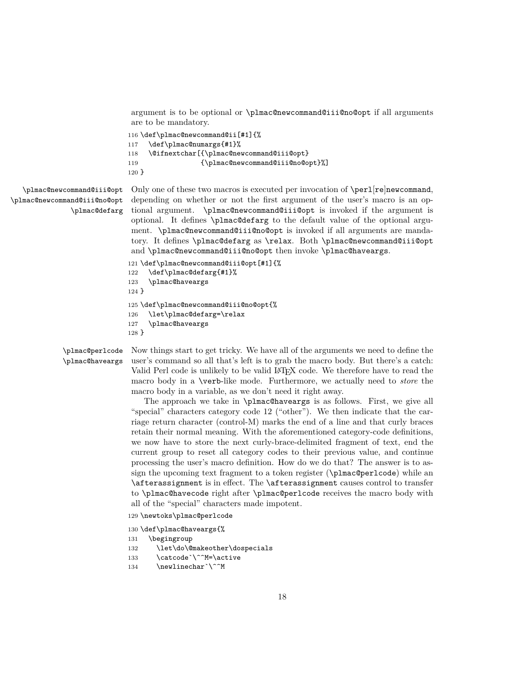argument is to be optional or \plmac@newcommand@iii@no@opt if all arguments are to be mandatory.

```
116 \def\plmac@newcommand@ii[#1]{%
117 \def\plmac@numargs{#1}%
118 \@ifnextchar[{\plmac@newcommand@iii@opt}
119 {\plmac@newcommand@iii@no@opt}%]
120 }
```
\plmac@newcommand@iii@opt \plmac@newcommand@iii@no@opt \plmac@defarg Only one of these two macros is executed per invocation of \perl[re]newcommand, depending on whether or not the first argument of the user's macro is an optional argument. \plmac@newcommand@iii@opt is invoked if the argument is optional. It defines \plmac@defarg to the default value of the optional argument. \plmac@newcommand@iii@no@opt is invoked if all arguments are mandatory. It defines \plmac@defarg as \relax. Both \plmac@newcommand@iii@opt and \plmac@newcommand@iii@no@opt then invoke \plmac@haveargs.

```
121 \def\plmac@newcommand@iii@opt[#1]{%
122 \def\plmac@defarg{#1}%
123 \plmac@haveargs
124 }
125 \def\plmac@newcommand@iii@no@opt{%
126 \let\plmac@defarg=\relax
127 \plmac@haveargs
128 }
```
\plmac@perlcode \plmac@haveargs

Now things start to get tricky. We have all of the arguments we need to define the user's command so all that's left is to grab the macro body. But there's a catch: Valid Perl code is unlikely to be valid LAT<sub>EX</sub> code. We therefore have to read the macro body in a \verb-like mode. Furthermore, we actually need to *store* the macro body in a variable, as we don't need it right away.

The approach we take in \plmac@haveargs is as follows. First, we give all "special" characters category code 12 ("other"). We then indicate that the carriage return character (control-M) marks the end of a line and that curly braces retain their normal meaning. With the aforementioned category-code definitions, we now have to store the next curly-brace-delimited fragment of text, end the current group to reset all category codes to their previous value, and continue processing the user's macro definition. How do we do that? The answer is to assign the upcoming text fragment to a token register (\plmac@perlcode) while an \afterassignment is in effect. The \afterassignment causes control to transfer to \plmac@havecode right after \plmac@perlcode receives the macro body with all of the "special" characters made impotent.

- 129 \newtoks\plmac@perlcode
- 130 \def\plmac@haveargs{%
- 131 \begingroup
- 132 \let\do\@makeother\dospecials
- 133 \catcode`\^^M=\active
- 134 \newlinechar`\^^M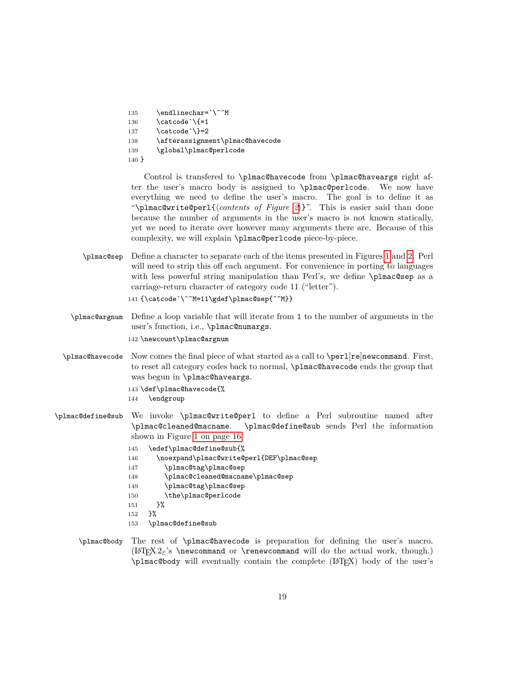```
135 \endlinechar=`\^^M
136 \catcode'{=1
137 \catcode \}=2
138 \afterassignment\plmac@havecode
139 \global\plmac@perlcode
140 }
```
Control is transfered to \plmac@havecode from \plmac@haveargs right after the user's macro body is assigned to \plmac@perlcode. We now have everything we need to define the user's macro. The goal is to define it as "\plmac@write@perl{*\contents of Figure [2](#page-15-1)*}}". This is easier said than done because the number of arguments in the user's macro is not known statically, yet we need to iterate over however many arguments there are. Because of this complexity, we will explain \plmac@perlcode piece-by-piece.

\plmac@sep Define a character to separate each of the items presented in Figures [1](#page-15-0) and [2.](#page-15-1) Perl will need to strip this off each argument. For convenience in porting to languages with less powerful string manipulation than Perl's, we define \plmac@sep as a carriage-return character of category code 11 ("letter").

```
141 {\catcode`\^^M=11\gdef\plmac@sep{^^M}}
```
\plmac@argnum Define a loop variable that will iterate from 1 to the number of arguments in the user's function, i.e., \plmac@numargs.

142 \newcount\plmac@argnum

- \plmac@havecode Now comes the final piece of what started as a call to \perl[re]newcommand. First, to reset all category codes back to normal, \plmac@havecode ends the group that was begun in \plmac@haveargs.
	- 143 \def\plmac@havecode{%
	- 144 \endgroup
- \plmac@define@sub We invoke \plmac@write@perl to define a Perl subroutine named after \plmac@cleaned@macname. \plmac@define@sub sends Perl the information shown in Figure [1 on page 16.](#page-15-0)
	- 145 \edef\plmac@define@sub{%
	- 146 \noexpand\plmac@write@perl{DEF\plmac@sep
	- 147 \plmac@tag\plmac@sep
	- 148 \plmac@cleaned@macname\plmac@sep
	- 149 \plmac@tag\plmac@sep
	- 150 \the\plmac@perlcode
	- 151 }%
	- 152 }%
	- 153 \plmac@define@sub
	- \plmac@body The rest of \plmac@havecode is preparation for defining the user's macro.  $(LFFX2<sub>\epsilon</sub>'s \newcommand{\mbox{\mbox{\w0.1}}\n5.5}$  (LAT<sub>E</sub>X 2<sup>o</sup> s \newcommand or \renewcommand will do the actual work, though.) \plmac@body will eventually contain the complete (LATEX) body of the user's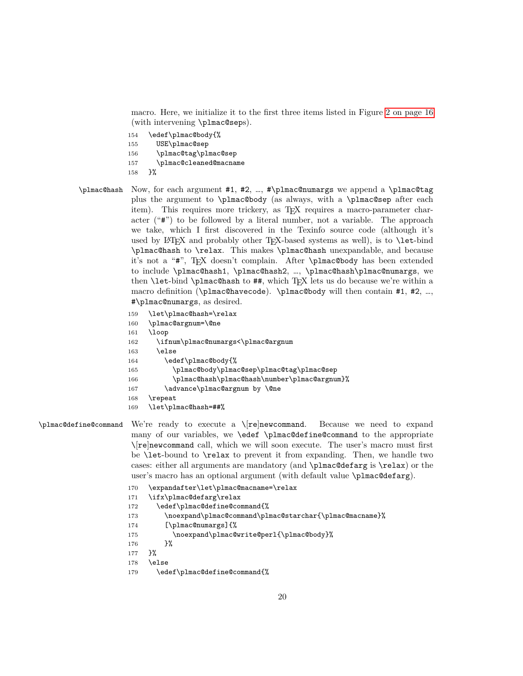macro. Here, we initialize it to the first three items listed in Figure [2 on page 16](#page-15-1) (with intervening \plmac@seps).

- 154 \edef\plmac@body{%
- 155 USE\plmac@sep
- 156 \plmac@tag\plmac@sep
- 157 \plmac@cleaned@macname
- 158 }%
- \plmac@hash Now, for each argument #1, #2, …, #\plmac@numargs we append a \plmac@tag plus the argument to \plmac@body (as always, with a \plmac@sep after each item). This requires more trickery, as T<sub>EX</sub> requires a macro-parameter character ("#") to be followed by a literal number, not a variable. The approach we take, which I first discovered in the Texinfo source code (although it's used by  $\text{LATEX}$  and probably other T<sub>EX</sub>-based systems as well), is to **\let-bind** \plmac@hash to \relax. This makes \plmac@hash unexpandable, and because it's not a "#", TEX doesn't complain. After \plmac@body has been extended to include \plmac@hash1, \plmac@hash2, …, \plmac@hash\plmac@numargs, we then  $\let$ -bind  $\phi$ lmac@hash to ##, which T<sub>EX</sub> lets us do because we're within a macro definition (\plmac@havecode). \plmac@body will then contain #1, #2, …, #\plmac@numargs, as desired.
	- 159 \let\plmac@hash=\relax
	- 160 \plmac@argnum=\@ne
	- 161 \loop
	- 162 \ifnum\plmac@numargs<\plmac@argnum
	- 163 \else
	- 164 \edef\plmac@body{%
	- 165 \plmac@body\plmac@sep\plmac@tag\plmac@sep
	- 166 \plmac@hash\plmac@hash\number\plmac@argnum}%
	- 167 \advance\plmac@argnum by \@ne
	- 168 \repeat
	- 169 \let\plmac@hash=##%

\plmac@define@command We're ready to execute a \[re]newcommand. Because we need to expand many of our variables, we \edef \plmac@define@command to the appropriate \[re]newcommand call, which we will soon execute. The user's macro must first be \let-bound to \relax to prevent it from expanding. Then, we handle two cases: either all arguments are mandatory (and \plmac@defarg is \relax) or the user's macro has an optional argument (with default value \plmac@defarg).

- 170 \expandafter\let\plmac@macname=\relax
- 171 \ifx\plmac@defarg\relax
- 172 \edef\plmac@define@command{%
- 173 \noexpand\plmac@command\plmac@starchar{\plmac@macname}%
- 174 [\plmac@numargs]{%
- 175 \noexpand\plmac@write@perl{\plmac@body}%
- 176 }%

```
177 }%
```
- 178 \else
- 179 \edef\plmac@define@command{%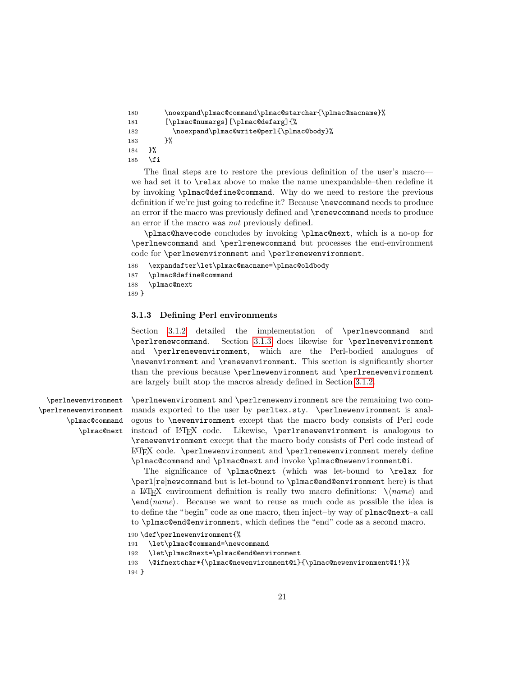```
180 \noexpand\plmac@command\plmac@starchar{\plmac@macname}%
181 [\plmac@numargs][\plmac@defarg]{%
182 \noexpand\plmac@write@perl{\plmac@body}%
183 }%
184 }%
185 \fi
```
The final steps are to restore the previous definition of the user's macro we had set it to \relax above to make the name unexpandable–then redefine it by invoking \plmac@define@command. Why do we need to restore the previous definition if we're just going to redefine it? Because \newcommand needs to produce an error if the macro was previously defined and \renewcommand needs to produce an error if the macro was *not* previously defined.

\plmac@havecode concludes by invoking \plmac@next, which is a no-op for \perlnewcommand and \perlrenewcommand but processes the end-environment code for \perlnewenvironment and \perlrenewenvironment.

```
186 \expandafter\let\plmac@macname=\plmac@oldbody
```

```
187 \plmac@define@command
```

```
188 \plmac@next
```
189 }

#### <span id="page-20-0"></span>**3.1.3 Defining Perl environments**

Section [3.1.2](#page-14-0) detailed the implementation of \perlnewcommand and \perlrenewcommand. Section [3.1.3](#page-20-0) does likewise for \perlnewenvironment and \perlrenewenvironment, which are the Perl-bodied analogues of \newenvironment and \renewenvironment. This section is significantly shorter than the previous because \perlnewenvironment and \perlrenewenvironment are largely built atop the macros already defined in Section [3.1.2.](#page-14-0)

\perlnewenvironment \perlrenewenvironment \plmac@command \plmac@next \perlnewenvironment and \perlrenewenvironment are the remaining two commands exported to the user by perltex.sty. \perlnewenvironment is analogous to \newenvironment except that the macro body consists of Perl code instead of LAT<sub>E</sub>X code. Likewise, \perlrenewenvironment is analogous to \renewenvironment except that the macro body consists of Perl code instead of LATEX code. \perlnewenvironment and \perlrenewenvironment merely define \plmac@command and \plmac@next and invoke \plmac@newenvironment@i.

The significance of \plmac@next (which was let-bound to \relax for \perl[re]newcommand but is let-bound to \plmac@end@environment here) is that a LAT<sub>E</sub>X environment definition is really two macro definitions:  $\setminus \langle name \rangle$  and \end/*name*}. Because we want to reuse as much code as possible the idea is to define the "begin" code as one macro, then inject–by way of plmac@next–a call to \plmac@end@environment, which defines the "end" code as a second macro.

```
190 \def\perlnewenvironment{%
```
- 191 \let\plmac@command=\newcommand
- 192 \let\plmac@next=\plmac@end@environment
- 193 \@ifnextchar\*{\plmac@newenvironment@i}{\plmac@newenvironment@i!}%
- 194 }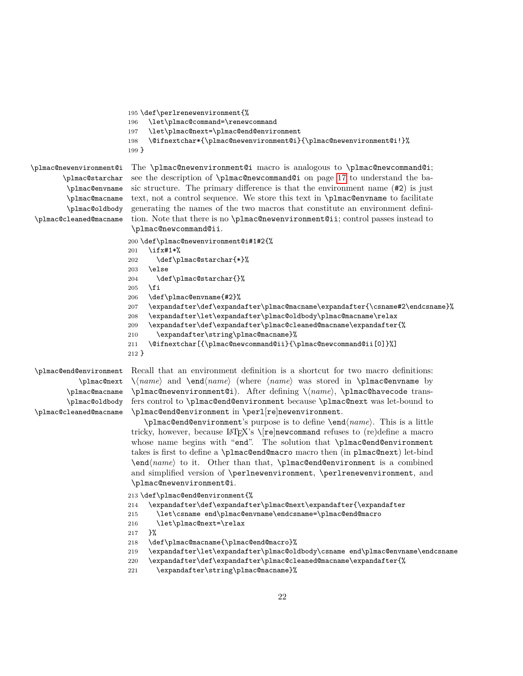```
195 \def\perlrenewenvironment{%
196 \let\plmac@command=\renewcommand
197 \let\plmac@next=\plmac@end@environment
198 \@ifnextchar*{\plmac@newenvironment@i}{\plmac@newenvironment@i!}%
199 }
```
\plmac@newenvironment@i \plmac@starchar \plmac@envname \plmac@macname \plmac@oldbody \plmac@cleaned@macname

The \plmac@newenvironment@i macro is analogous to \plmac@newcommand@i; see the description of \plmac@newcommand@i on page [17](#page-16-0) to understand the basic structure. The primary difference is that the environment name (#2) is just text, not a control sequence. We store this text in \plmac@envname to facilitate generating the names of the two macros that constitute an environment definition. Note that there is no \plmac@newenvironment@ii; control passes instead to \plmac@newcommand@ii.

```
200 \def\plmac@newenvironment@i#1#2{%
201 \ifx#1*%
202 \def\plmac@starchar{*}%
203 \else
204 \def\plmac@starchar{}%
205 \fi
206 \def\plmac@envname{#2}%
207 \expandafter\def\expandafter\plmac@macname\expandafter{\csname#2\endcsname}%
208 \expandafter\let\expandafter\plmac@oldbody\plmac@macname\relax
209 \expandafter\def\expandafter\plmac@cleaned@macname\expandafter{%
210 \expandafter\string\plmac@macname}%
211 \@ifnextchar[{\plmac@newcommand@ii}{\plmac@newcommand@ii[0]}%]
212 }
```
\plmac@end@environment \plmac@next \plmac@macname \plmac@oldbody \plmac@cleaned@macname

Recall that an environment definition is a shortcut for two macro definitions:  $\lambda$ *name* and  $\text{name}$  (where *(name*) was stored in **\plmac@envname** by \plmac@newenvironment@i). After defining \ $\langle name \rangle$ , \plmac@havecode transfers control to \plmac@end@environment because \plmac@next was let-bound to \plmac@end@environment in \perl[re]newenvironment.

\plmac@end@environment's purpose is to define \endh*name*i. This is a little tricky, however, because LAT<sub>E</sub>X's  $\Gamma$  | new command refuses to (re)define a macro whose name begins with "end". The solution that \plmac@end@environment takes is first to define a \plmac@end@macro macro then (in plmac@next) let-bind \end\name\ to it. Other than that, \plmac@end@environment is a combined and simplified version of \perlnewenvironment, \perlrenewenvironment, and \plmac@newenvironment@i.

213 \def\plmac@end@environment{%

```
214 \expandafter\def\expandafter\plmac@next\expandafter{\expandafter
```

```
215 \let\csname end\plmac@envname\endcsname=\plmac@end@macro
```
216 \let\plmac@next=\relax

217 }%

218 \def\plmac@macname{\plmac@end@macro}%

```
219 \expandafter\let\expandafter\plmac@oldbody\csname end\plmac@envname\endcsname
```

```
220 \expandafter\def\expandafter\plmac@cleaned@macname\expandafter{%
```

```
221 \expandafter\string\plmac@macname}%
```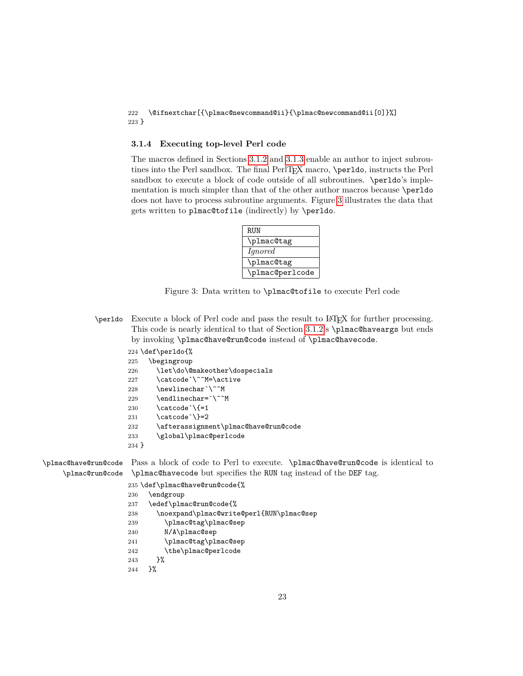#### 222 \@ifnextchar[{\plmac@newcommand@ii}{\plmac@newcommand@ii[0]}%] 223 }

#### <span id="page-22-0"></span>**3.1.4 Executing top-level Perl code**

The macros defined in Sections [3.1.2](#page-14-0) and [3.1.3](#page-20-0) enable an author to inject subroutines into the Perl sandbox. The final PerlT<sub>E</sub>X macro, \perldo, instructs the Perl sandbox to execute a block of code outside of all subroutines.  $\perp$ mentation is much simpler than that of the other author macros because \perldo does not have to process subroutine arguments. Figure [3](#page-22-1) illustrates the data that gets written to plmac@tofile (indirectly) by \perldo.



<span id="page-22-1"></span>Figure 3: Data written to \plmac@tofile to execute Perl code

- \perldo Execute a block of Perl code and pass the result to LATEX for further processing. This code is nearly identical to that of Section [3.1.2'](#page-14-0)s \plmac@haveargs but ends by invoking \plmac@have@run@code instead of \plmac@havecode.
	- 224 \def\perldo{%
	- 225 \begingroup
	- 226 \let\do\@makeother\dospecials
	- 227 \catcode`\^^M=\active
	- 228 \newlinechar`\^^M
	- 229 \endlinechar=`\^^M
	- 230  $\text{catcode'}\$  =1
	- 231 \catcode \}=2
	- 232 \afterassignment\plmac@have@run@code
	- 233 \global\plmac@perlcode
	- 234 }

\plmac@have@run@code Pass a block of code to Perl to execute. \plmac@have@run@code is identical to \plmac@run@code \plmac@havecode but specifies the RUN tag instead of the DEF tag.

235 \def\plmac@have@run@code{%

- 236 \endgroup
- 237 \edef\plmac@run@code{%
- 238 \noexpand\plmac@write@perl{RUN\plmac@sep
- 239 \plmac@tag\plmac@sep
- 240 N/A\plmac@sep
- 241 \plmac@tag\plmac@sep
- 242 \the\plmac@perlcode
- 243 }%
- 244 }%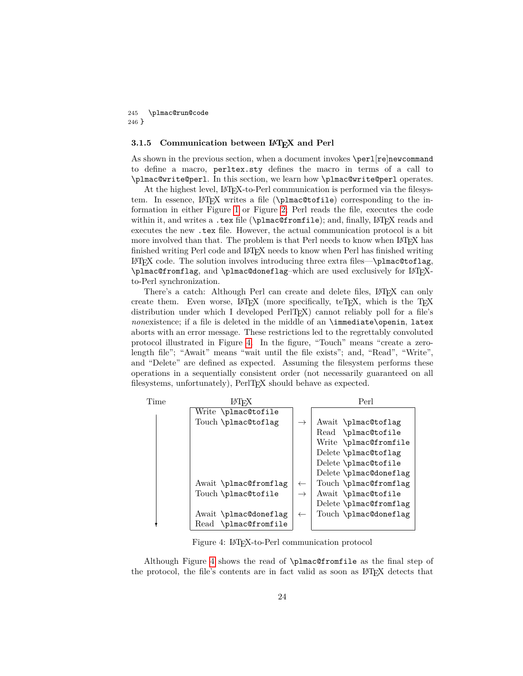<span id="page-23-1"></span>245 \plmac@run@code 246 }

#### **3.1.5 Communication between LATEX and Perl**

As shown in the previous section, when a document invokes **\perl**[re]newcommand to define a macro, perltex.sty defines the macro in terms of a call to \plmac@write@perl. In this section, we learn how \plmac@write@perl operates.

At the highest level, LATEX-to-Perl communication is performed via the filesystem. In essence, LAT<sub>EX</sub> writes a file (\plmac@tofile) corresponding to the information in either Figure [1](#page-15-0) or Figure [2;](#page-15-1) Perl reads the file, executes the code within it, and writes a .tex file ( $\phi$ ) mac@fromfile); and, finally, LAT<sub>E</sub>X reads and executes the new .tex file. However, the actual communication protocol is a bit more involved than that. The problem is that Perl needs to know when LAT<sub>EX</sub> has finished writing Perl code and LATEX needs to know when Perl has finished writing  $\Delta E$ T<sub>E</sub>X code. The solution involves introducing three extra files—\plmac@toflag, \plmac@fromflag, and \plmac@doneflag–which are used exclusively for LATEXto-Perl synchronization.

There's a catch: Although Perl can create and delete files, LATEX can only create them. Even worse,  $\mathbb{F}E[X]$  (more specifically, teT<sub>E</sub>X, which is the T<sub>E</sub>X distribution under which I developed PerlT<sub>E</sub>X) cannot reliably poll for a file's *nonexistence*; if a file is deleted in the middle of an \immediate\openin, latex aborts with an error message. These restrictions led to the regrettably convoluted protocol illustrated in Figure [4.](#page-23-0) In the figure, "Touch" means "create a zerolength file"; "Await" means "wait until the file exists"; and, "Read", "Write", and "Delete" are defined as expected. Assuming the filesystem performs these operations in a sequentially consistent order (not necessarily guaranteed on all filesystems, unfortunately), PerlT<sub>E</sub>X should behave as expected.

| Time | IATFX                 |               | Perl                   |
|------|-----------------------|---------------|------------------------|
|      | Write \plmac@tofile   |               |                        |
|      | Touch \plmac@toflag   |               | Await \plmac@toflag    |
|      |                       |               | Read \plmac@tofile     |
|      |                       |               | Write \plmac@fromfile  |
|      |                       |               | Delete \plmac@toflag   |
|      |                       |               | Delete \plmac@tofile   |
|      |                       |               | Delete \plmac@doneflag |
|      | Await \plmac@fromflag | $\leftarrow$  | Touch \plmac@fromflag  |
|      | Touch \plmac@tofile   | $\rightarrow$ | Await \plmac@tofile    |
|      |                       |               | Delete \plmac@fromflag |
|      | Await \plmac@doneflag | $\leftarrow$  | Touch \plmac@doneflag  |
|      | Read \plmac@fromfile  |               |                        |

<span id="page-23-0"></span>Figure 4: LAT<sub>EX</sub>-to-Perl communication protocol

Although Figure [4](#page-23-0) shows the read of \plmac@fromfile as the final step of the protocol, the file's contents are in fact valid as soon as IATEX detects that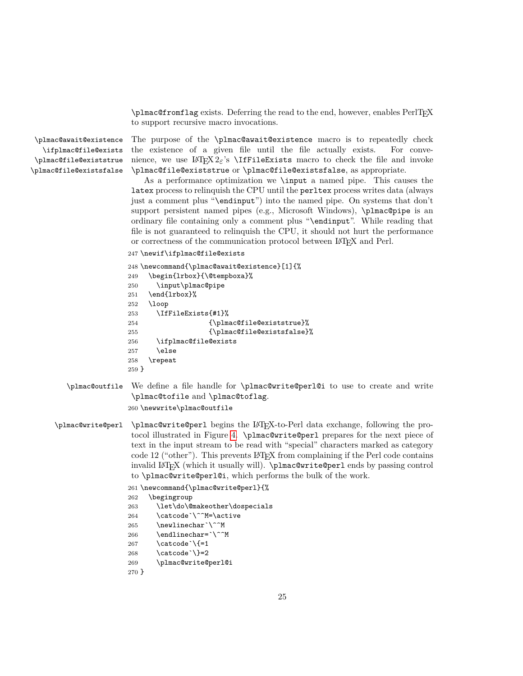$\phi$  /plmac@fromflag exists. Deferring the read to the end, however, enables PerlT<sub>E</sub>X to support recursive macro invocations.

\plmac@await@existence \ifplmac@file@exists \plmac@file@existstrue \plmac@file@existsfalse

The purpose of the \plmac@await@existence macro is to repeatedly check the existence of a given file until the file actually exists. For convenience, we use  $\mathbb{B}T_F X 2_\varepsilon$ 's  $\Ipsilon$ ffileExists macro to check the file and invoke \plmac@file@existstrue or \plmac@file@existsfalse, as appropriate.

As a performance optimization we \input a named pipe. This causes the latex process to relinquish the CPU until the perltex process writes data (always just a comment plus "\endinput") into the named pipe. On systems that don't support persistent named pipes (e.g., Microsoft Windows), \plmac@pipe is an ordinary file containing only a comment plus "\endinput". While reading that file is not guaranteed to relinquish the CPU, it should not hurt the performance or correctness of the communication protocol between LATEX and Perl.

```
247 \newif\ifplmac@file@exists
```

```
248 \newcommand{\plmac@await@existence}[1]{%
249 \begin{lrbox}{\@tempboxa}%
250 \input\plmac@pipe
251 \end{lrbox}%
252 \loop
253 \IfFileExists{#1}%
254 {\plmac@file@existstrue}%
255 {\plmac@file@existsfalse}%
256 \ifplmac@file@exists
257 \lambdaelse
258 \repeat
259 }
```
\plmac@outfile We define a file handle for \plmac@write@perl@i to use to create and write \plmac@tofile and \plmac@toflag.

```
260 \newwrite\plmac@outfile
```
\plmac@write@perl \plmac@write@perl begins the LATEX-to-Perl data exchange, following the protocol illustrated in Figure [4.](#page-23-0) \plmac@write@perl prepares for the next piece of text in the input stream to be read with "special" characters marked as category code 12 ("other"). This prevents LATEX from complaining if the Perl code contains invalid LATEX (which it usually will). \plmac@write@perl ends by passing control to \plmac@write@perl@i, which performs the bulk of the work.

```
261 \newcommand{\plmac@write@perl}{%
```
- 262 \begingroup
- 263 \let\do\@makeother\dospecials 264 \catcode`\^^M=\active
- 265 \newlinechar`\^^M
- 266 \endlinechar=`\^^M
- 267 \catcode \{=1
- 268 \catcode \}=2
- 269 \plmac@write@perl@i

```
270 }
```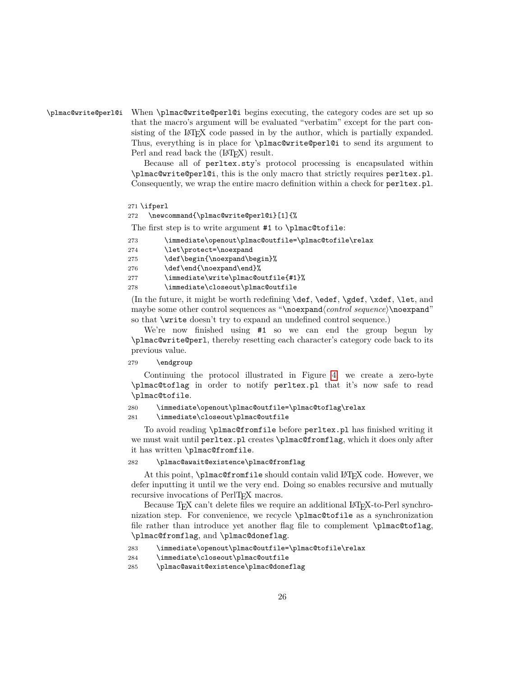## \plmac@write@perl@i When \plmac@write@perl@i begins executing, the category codes are set up so that the macro's argument will be evaluated "verbatim" except for the part consisting of the LATEX code passed in by the author, which is partially expanded. Thus, everything is in place for \plmac@write@perl@i to send its argument to Perl and read back the  $(LT_FX)$  result.

<span id="page-25-0"></span>Because all of perltex.sty's protocol processing is encapsulated within \plmac@write@perl@i, this is the only macro that strictly requires perltex.pl. Consequently, we wrap the entire macro definition within a check for perltex.pl.

```
271 \ifperl
```
272 \newcommand{\plmac@write@perl@i}[1]{%

The first step is to write argument #1 to \plmac@tofile:

```
273 \immediate\openout\plmac@outfile=\plmac@tofile\relax
```

```
274 \let\protect=\noexpand
```

```
275 \def\begin{\noexpand\begin}%
```

```
276 \def\end{\noexpand\end}%
```

```
277 \immediate\write\plmac@outfile{#1}%
```
278 \immediate\closeout\plmac@outfile

(In the future, it might be worth redefining \def, \edef, \gdef, \xdef, \let, and maybe some other control sequences as "\noexpand\control sequence\\noexpand" so that \write doesn't try to expand an undefined control sequence.)

We're now finished using #1 so we can end the group begun by \plmac@write@perl, thereby resetting each character's category code back to its previous value.

279 \endgroup

Continuing the protocol illustrated in Figure [4,](#page-23-0) we create a zero-byte \plmac@toflag in order to notify perltex.pl that it's now safe to read \plmac@tofile.

280 \immediate\openout\plmac@outfile=\plmac@toflag\relax

281 \immediate\closeout\plmac@outfile

To avoid reading \plmac@fromfile before perltex.pl has finished writing it we must wait until perltex.pl creates \plmac@fromflag, which it does only after it has written \plmac@fromfile.

#### 282 \plmac@await@existence\plmac@fromflag

At this point, **\plmac@fromfile** should contain valid L<sup>AT</sup>EX code. However, we defer inputting it until we the very end. Doing so enables recursive and mutually recursive invocations of PerlT<sub>EX</sub> macros.

Because T<sub>F</sub>X can't delete files we require an additional L<sup>AT</sup>F<sub>N</sub>-to-Perl synchronization step. For convenience, we recycle \plmac@tofile as a synchronization file rather than introduce yet another flag file to complement \plmac@toflag, \plmac@fromflag, and \plmac@doneflag.

```
283 \immediate\openout\plmac@outfile=\plmac@tofile\relax
```

```
284 \immediate\closeout\plmac@outfile
```

```
285 \plmac@await@existence\plmac@doneflag
```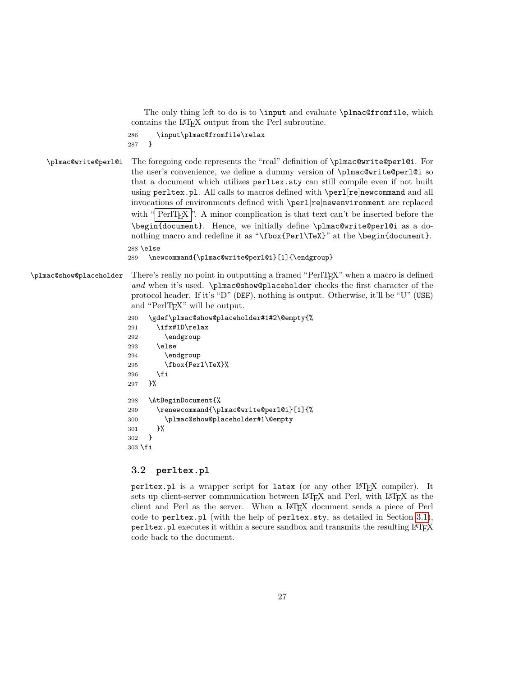<span id="page-26-1"></span>The only thing left to do is to **\input** and evaluate **\plmac@fromfile**, which contains the LATEX output from the Perl subroutine.

```
286 \input\plmac@fromfile\relax
287 }
```
\plmac@write@perl@i The foregoing code represents the "real" definition of \plmac@write@perl@i. For the user's convenience, we define a dummy version of \plmac@write@perl@i so that a document which utilizes perltex.sty can still compile even if not built using perltex.pl. All calls to macros defined with \perl[re]newcommand and all invocations of environments defined with \perl[re]newenvironment are replaced with " $\text{PerITEX}$ ". A minor complication is that text can't be inserted before the \begin{document}. Hence, we initially define \plmac@write@perl@i as a donothing macro and redefine it as "\fbox{Perl\TeX}" at the \begin{document}. 288 \else

```
289 \newcommand{\plmac@write@perl@i}[1]{\endgroup}
```
## \plmac@show@placeholder There's really no point in outputting a framed "PerlTEX" when a macro is defined *and* when it's used. \plmac@show@placeholder checks the first character of the protocol header. If it's "D" (DEF), nothing is output. Otherwise, it'll be "U" (USE) and "PerlT<sub>EX</sub>" will be output.

```
290 \gdef\plmac@show@placeholder#1#2\@empty{%
291 \ifx#1D\relax
292 \endgroup
293 \else
294 \endgroup
295 \fbox{Perl\TeX}%
296 \fi
297 }%
298 \AtBeginDocument{%
299 \renewcommand{\plmac@write@perl@i}[1]{%
300 \plmac@show@placeholder#1\@empty
301 }%
302 }
303 \fi
```
## <span id="page-26-0"></span>**3.2 perltex.pl**

perltex.pl is a wrapper script for latex (or any other LAT<sub>EX</sub> compiler). It sets up client-server communication between LAT<sub>EX</sub> and Perl, with LAT<sub>EX</sub> as the client and Perl as the server. When a LATEX document sends a piece of Perl code to perltex.pl (with the help of perltex.sty, as detailed in Section [3.1\)](#page-12-0), perltex.pl executes it within a secure sandbox and transmits the resulting LATEX code back to the document.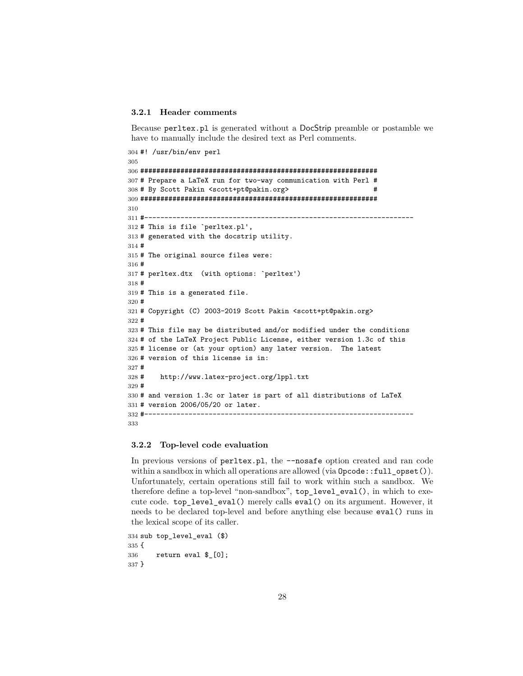#### **3.2.1 Header comments**

Because perltex.pl is generated without a DocStrip preamble or postamble we have to manually include the desired text as Perl comments.

```
304 #! /usr/bin/env perl
305
306 ###########################################################
307 # Prepare a LaTeX run for two-way communication with Perl #
308 # By Scott Pakin <scott+pt@pakin.org> #
309 ###########################################################
310
311 #-------------------------------------------------------------------
312 # This is file `perltex.pl',
313 # generated with the docstrip utility.
314 #
315 # The original source files were:
316 #
317 # perltex.dtx (with options: `perltex')
318 #
319 # This is a generated file.
320 #
321 # Copyright (C) 2003-2019 Scott Pakin <scott+pt@pakin.org>
322 #
323 # This file may be distributed and/or modified under the conditions
324 # of the LaTeX Project Public License, either version 1.3c of this
325 # license or (at your option) any later version. The latest
326 # version of this license is in:
327 #
328 # http://www.latex-project.org/lppl.txt
329 #
330 # and version 1.3c or later is part of all distributions of LaTeX
331 # version 2006/05/20 or later.
332 #-------------------------------------------------------------------
333
```
#### **3.2.2 Top-level code evaluation**

In previous versions of perltex.pl, the --nosafe option created and ran code within a sandbox in which all operations are allowed (via  $\text{Opcode}:\text{full }$  opset()). Unfortunately, certain operations still fail to work within such a sandbox. We therefore define a top-level "non-sandbox", top\_level\_eval(), in which to execute code. top\_level\_eval() merely calls eval() on its argument. However, it needs to be declared top-level and before anything else because eval() runs in the lexical scope of its caller.

```
334 sub top_level_eval ($)
335 {
336 return eval $_[0];
337 }
```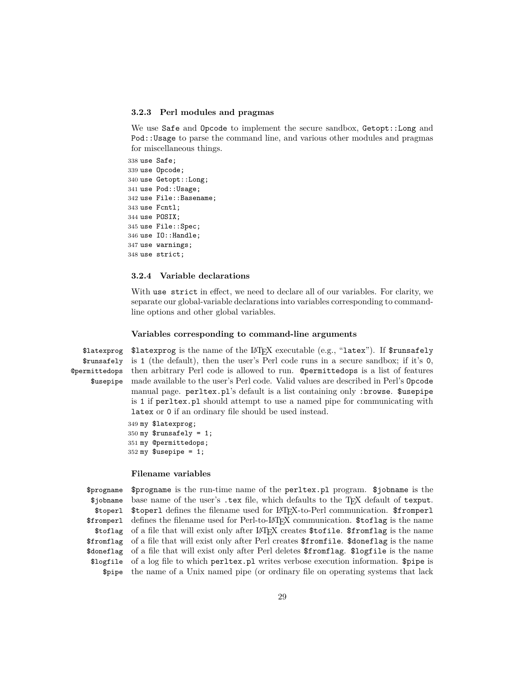#### **3.2.3 Perl modules and pragmas**

We use Safe and Opcode to implement the secure sandbox, Getopt::Long and Pod::Usage to parse the command line, and various other modules and pragmas for miscellaneous things.

 use Safe; use Opcode; use Getopt::Long; use Pod::Usage; use File::Basename; use Fcntl; use POSIX; use File::Spec; use IO::Handle; use warnings; use strict;

#### **3.2.4 Variable declarations**

With use strict in effect, we need to declare all of our variables. For clarity, we separate our global-variable declarations into variables corresponding to commandline options and other global variables.

#### **Variables corresponding to command-line arguments**

\$latexprog \$runsafely @permittedops then arbitrary Perl code is allowed to run. @permittedops is a list of features \$usepipe  $\texttt{#latesprog}$  is the name of the  $\text{LFT}_X$  executable (e.g., "latex"). If  $\texttt{``runsafely}$ is 1 (the default), then the user's Perl code runs in a secure sandbox; if it's 0, made available to the user's Perl code. Valid values are described in Perl's Opcode manual page. perltex.pl's default is a list containing only :browse. \$usepipe is 1 if perltex.pl should attempt to use a named pipe for communicating with latex or 0 if an ordinary file should be used instead.

> my \$latexprog;  $350 \text{ my }$ \$runsafely = 1; my @permittedops; my \$usepipe = 1;

#### **Filename variables**

\$progname \$jobname \$toperl \$fromperl \$toflag \$fromflag \$doneflag \$logfile \$pipe \$progname is the run-time name of the perltex.pl program. \$jobname is the base name of the user's .tex file, which defaults to the TEX default of texput. \$toperl defines the filename used for LATEX-to-Perl communication. \$fromperl defines the filename used for Perl-to-LATEX communication. \$toflag is the name of a file that will exist only after LATEX creates \$tofile. \$fromflag is the name of a file that will exist only after Perl creates \$fromfile. \$doneflag is the name of a file that will exist only after Perl deletes \$fromflag. \$logfile is the name of a log file to which perltex.pl writes verbose execution information. \$pipe is the name of a Unix named pipe (or ordinary file on operating systems that lack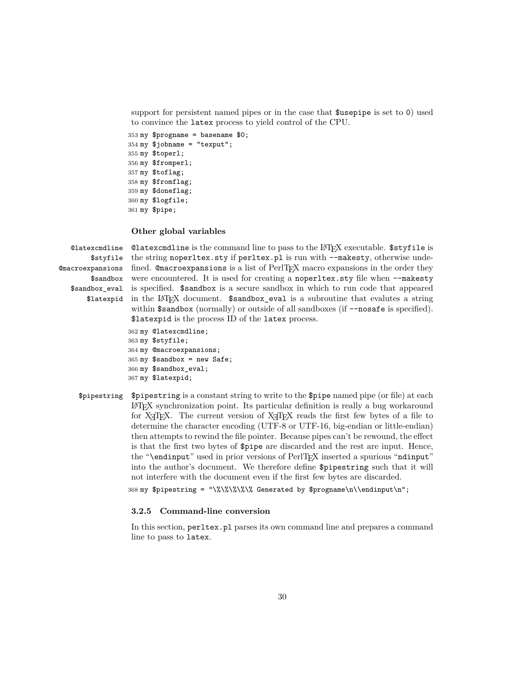support for persistent named pipes or in the case that \$usepipe is set to 0) used to convince the latex process to yield control of the CPU.

```
353 my $progname = basename $0;
354 my $jobname = "texput";355 my $toperl;
356 my $fromperl;
357 my $toflag;
358 my $fromflag;
359 my $doneflag;
360 my $logfile;
361 my $pipe;
```
#### **Other global variables**

@latexcmdline

\$styfile the string noperltex.sty if perltex.pl is run with --makesty, otherwise unde-@macroexpansions fined. @macroexpansions is a list of PerlTEX macro expansions in the order they \$sandbox were encountered. It is used for creating a noperltex.sty file when --makesty \$sandbox\_eval is specified. \$sandbox is a secure sandbox in which to run code that appeared \$latexpid in the LATEX document. \$sandbox\_eval is a subroutine that evalutes a string @latexcmdline is the command line to pass to the LATEX executable. \$styfile is within  $$sandbox (normally)$  or outside of all sandboxes (if  $--nosafe$  is specified). \$latexpid is the process ID of the latex process.

```
362 my @latexcmdline;
363 my $styfile;
364 my @macroexpansions;
365 my $sandbox = new Safe;366 my $sandbox_eval;
367 my $latexpid;
```

```
$pipestring $pipestring is a constant string to write to the $pipe named pipe (or file) at each
              LATEX synchronization point. Its particular definition is really a bug workaround
              for X \nsubseteq \mathbb{R}. The current version of X \nsubseteq \mathbb{R} reads the first few bytes of a file to
              determine the character encoding (UTF-8 or UTF-16, big-endian or little-endian)
              then attempts to rewind the file pointer. Because pipes can't be rewound, the effect
              is that the first two bytes of $pipe are discarded and the rest are input. Hence,
              the "\endinput" used in prior versions of PerlT<sub>EX</sub> inserted a spurious "ndinput"
              into the author's document. We therefore define $pipestring such that it will
              not interfere with the document even if the first few bytes are discarded.
```
368 my \$pipestring = "\%\%\%\%\% Generated by \$progname\n\\endinput\n";

#### **3.2.5 Command-line conversion**

In this section, perltex.pl parses its own command line and prepares a command line to pass to latex.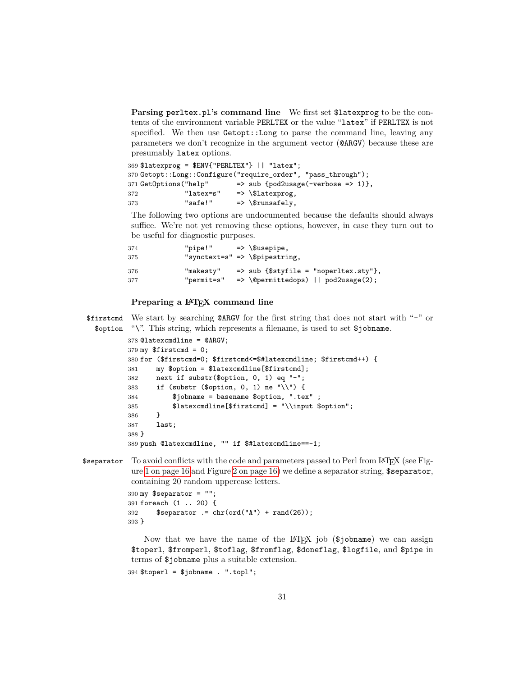**Parsing perltex.pl's command line** We first set \$latexprog to be the contents of the environment variable PERLTEX or the value "latex" if PERLTEX is not specified. We then use Getopt::Long to parse the command line, leaving any parameters we don't recognize in the argument vector (@ARGV) because these are presumably latex options.

369 \$latexprog = \$ENV{"PERLTEX"} || "latex"; 370 Getopt::Long::Configure("require\_order", "pass\_through"); 371 GetOptions("help" => sub {pod2usage(-verbose => 1)}, 372 "latex=s" => \\$latexprog, 373 "safe!" => \\$runsafely,

The following two options are undocumented because the defaults should always suffice. We're not yet removing these options, however, in case they turn out to be useful for diagnostic purposes.

| 374 | "pipe!"    | $\Rightarrow$ \\$usepipe,                    |                                                  |
|-----|------------|----------------------------------------------|--------------------------------------------------|
| 375 |            | "synctext=s" => $\langle \hat{\phi} \rangle$ |                                                  |
| 376 | "makesty"  |                                              | $\Rightarrow$ sub {\$styfile = "noperltex.sty"}, |
| 377 | "permit=s" |                                              | $\Rightarrow$ \@permittedops)    pod2usage(2);   |

#### **Preparing a LAT<sub>E</sub>X** command line

\$firstcmd We start by searching @ARGV for the first string that does not start with "-" or \$option "\". This string, which represents a filename, is used to set \$jobname.

```
378 @latexcmdline = @ARGV;
379 my $firstcmd = 0;
380 for ($firstcmd=0; $firstcmd<=$#latexcmdline; $firstcmd++) {
381 my $option = $latexcmdline[$firstcmd];
382 next if substr($option, 0, 1) eq "-";
383 if (substr ($option, 0, 1) ne "\\") {
384 $jobname = basename $option, ".tex"385 $latexcmdline[$firstcmd] = "\\input $option";
386 }
387 last;
388 }
389 push @latexcmdline, "" if $#latexcmdline==-1;
```
\$separator To avoid conflicts with the code and parameters passed to Perl from LATFX (see Fig-ure [1 on page 16](#page-15-0) and Figure 2 on page  $16$ ) we define a separator string,  $$separation$ , containing 20 random uppercase letters.

```
390 my $separator = "";
391 foreach (1 .. 20) {
392 $separator := chr(ord("A") + rand(26));
393 }
```
Now that we have the name of the LAT<sub>E</sub>X job (\$jobname) we can assign \$toperl, \$fromperl, \$toflag, \$fromflag, \$doneflag, \$logfile, and \$pipe in terms of \$jobname plus a suitable extension.

```
394 $toperl = $jobname . ".topl";
```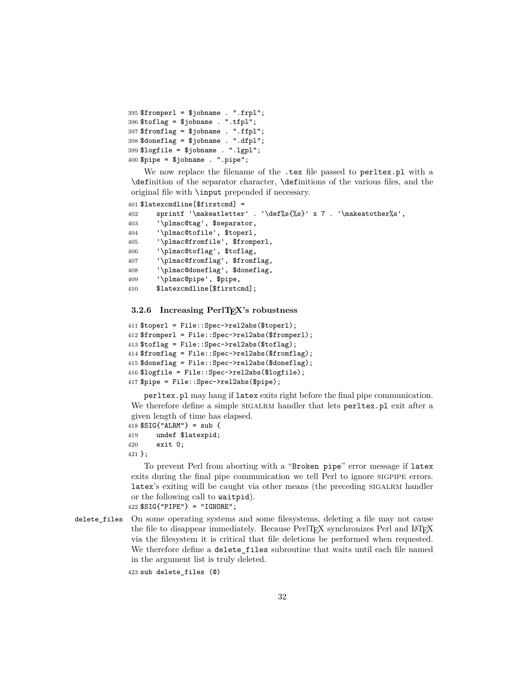```
395 $fromperl = $jobname . ".frpl";
396 $toflag = $jobname . ".tfpl";
397 $fromflag = $jobname . ".ffpl";
398 $doneflag = $jobname . ".dfpl";
399 $logfile = $jobname . ".lgpl";
400 $pipe = $jobname . ".pipe";
```
We now replace the filename of the .tex file passed to perltex.pl with a \definition of the separator character, \definitions of the various files, and the original file with \input prepended if necessary.

```
401 $latexcmdline[$firstcmd] =
402 sprintf '\makeatletter' . '\def%s{%s}' x 7 . '\makeatother%s',
403 '\plmac@tag', $separator,
404 '\plmac@tofile', $toperl,
405 '\plmac@fromfile', $fromperl,
406 '\plmac@toflag', $toflag,
407 '\plmac@fromflag', $fromflag,
408 '\plmac@doneflag', $doneflag,
409 '\plmac@pipe', $pipe,
410 $latexcmdline[$firstcmd];
```
#### <span id="page-31-0"></span>**3.2.6 Increasing PerlTEX's robustness**

```
411 $toperl = File::Spec->rel2abs($toperl);
412 $fromperl = File::Spec->rel2abs($fromperl);
413 $toflag = File::Spec->rel2abs($toflag);
414 $fromflag = File::Spec->rel2abs($fromflag);
415 $doneflag = File::Spec->rel2abs($doneflag);
416 $logfile = File::Spec->rel2abs($logfile);
417 $pipe = File::Spec->rel2abs($pipe);
```
perltex.pl may hang if latex exits right before the final pipe communication. We therefore define a simple SIGALRM handler that lets perltex.pl exit after a given length of time has elapsed.

 \$SIG{"ALRM"} = sub { undef \$latexpid; exit 0; };

To prevent Perl from aborting with a "Broken pipe" error message if latex exits during the final pipe communication we tell Perl to ignore SIGPIPE errors. latex's exiting will be caught via other means (the preceding sigalarm handler or the following call to waitpid). \$SIG{"PIPE"} = "IGNORE";

delete\_files On some operating systems and some filesystems, deleting a file may not cause the file to disappear immediately. Because PerlT<sub>EX</sub> synchronizes Perl and LAT<sub>EX</sub> via the filesystem it is critical that file deletions be performed when requested. We therefore define a delete\_files subroutine that waits until each file named in the argument list is truly deleted.

sub delete\_files (@)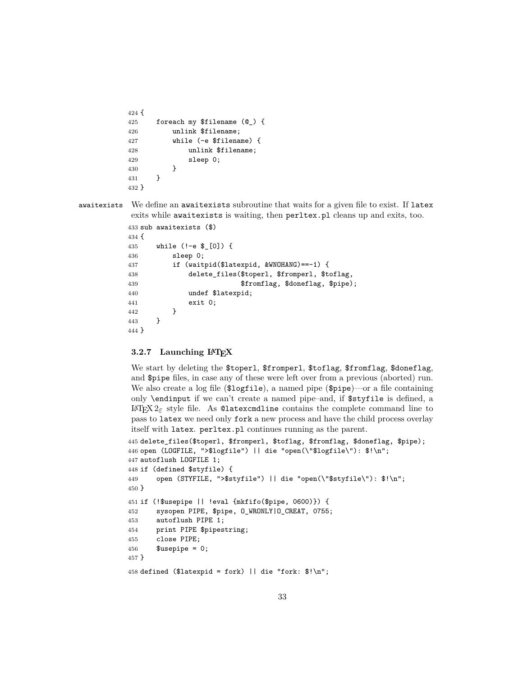```
424 {
425 foreach my $filename (@_) {
426 unlink $filename;
427 while (-e $filename) {
428 unlink $filename;
429 sleep 0;
430 }
431 }
432 }
```
awaitexists We define an awaitexists subroutine that waits for a given file to exist. If latex exits while awaitexists is waiting, then perltex.pl cleans up and exits, too.

```
433 sub awaitexists ($)
434 {
435 while (!-e $_[0]) {
436 sleep 0;
437 if (waitpid($latexpid, &WNOHANG)==-1) {
438 delete_files($toperl, $fromperl, $toflag,
439 $fromflag, $doneflag, $pipe);
440 undef $latexpid;
441 exit 0;
442 }
443 }
444 }
```
## **3.2.7 Launching LATEX**

We start by deleting the \$toperl, \$fromperl, \$toflag, \$fromflag, \$doneflag, and \$pipe files, in case any of these were left over from a previous (aborted) run. We also create a log file (\$logfile), a named pipe (\$pipe)—or a file containing only \endinput if we can't create a named pipe–and, if \$styfile is defined, a LAT<sub>E</sub>X  $2\varepsilon$  style file. As ©latexcmdline contains the complete command line to pass to latex we need only fork a new process and have the child process overlay itself with latex. perltex.pl continues running as the parent.

```
445 delete_files($toperl, $fromperl, $toflag, $fromflag, $doneflag, $pipe);
446 open (LOGFILE, ">$logfile") || die "open(\"$logfile\"): $!\n";
447 autoflush LOGFILE 1;
448 if (defined $styfile) {
449 open (STYFILE, ">$styfile") || die "open(\"$styfile\"): $!\n";
450 }
451 if (!$usepipe || !eval {mkfifo($pipe, 0600)}) {
452 sysopen PIPE, $pipe, O_WRONLY|O_CREAT, 0755;
453 autoflush PIPE 1;
454 print PIPE $pipestring;
455 close PIPE;
456 $usepipe = 0;457 }
458 defined ($latexpid = fork) || die "fork: $!\n";
```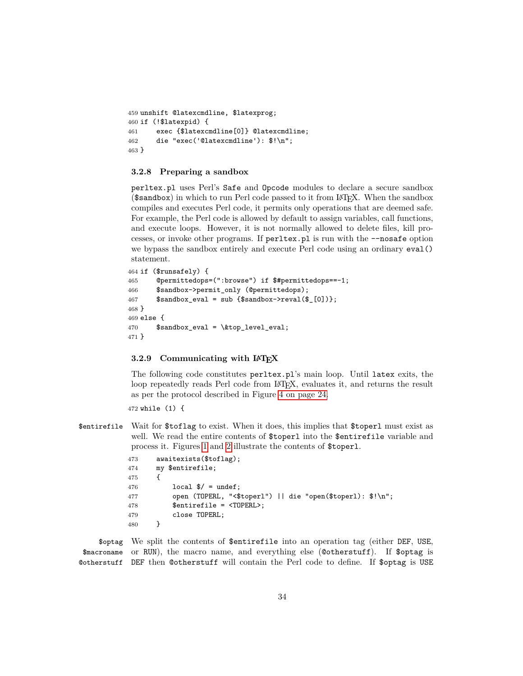```
459 unshift @latexcmdline, $latexprog;
460 if (!$latexpid) {
461 exec {$latexcmdline[0]} @latexcmdline;
462 die "exec('@latexcmdline'): $!\n";
463 }
```
#### **3.2.8 Preparing a sandbox**

perltex.pl uses Perl's Safe and Opcode modules to declare a secure sandbox (\$sandbox) in which to run Perl code passed to it from LATEX. When the sandbox compiles and executes Perl code, it permits only operations that are deemed safe. For example, the Perl code is allowed by default to assign variables, call functions, and execute loops. However, it is not normally allowed to delete files, kill processes, or invoke other programs. If perltex.pl is run with the --nosafe option we bypass the sandbox entirely and execute Perl code using an ordinary eval() statement.

```
464 if ($runsafely) {
465 @permittedops=(":browse") if $#permittedops==-1;
466 $sandbox->permit_only (@permittedops);
467 $sandbox\_eval = sub \{\$sandbox->reval(\$_[0])\};468 }
469 else {
470 $sandbox_eval = \&top_level_eval;
471 }
```
#### **3.2.9 Communicating with LATEX**

The following code constitutes perltex.pl's main loop. Until latex exits, the loop repeatedly reads Perl code from LAT<sub>EX</sub>, evaluates it, and returns the result as per the protocol described in Figure [4 on page 24.](#page-23-0)

472 while (1) {

\$entirefile Wait for \$toflag to exist. When it does, this implies that \$toperl must exist as well. We read the entire contents of \$toperl into the \$entirefile variable and process it. Figures [1](#page-15-0) and [2](#page-15-1) illustrate the contents of \$toperl.

```
473 awaitexists($toflag);
474 my $entirefile;
475 {
476 local \frac{1}{2} = undef;
477 open (TOPERL, "<$toperl") || die "open($toperl): $!\n";
478 $entirefile = <TOPERL>;
479 close TOPERL;
480 }
```
\$optag We split the contents of \$entirefile into an operation tag (either DEF, USE, \$macroname or RUN), the macro name, and everything else (@otherstuff). If \$optag is @otherstuff DEF then @otherstuff will contain the Perl code to define. If \$optag is USE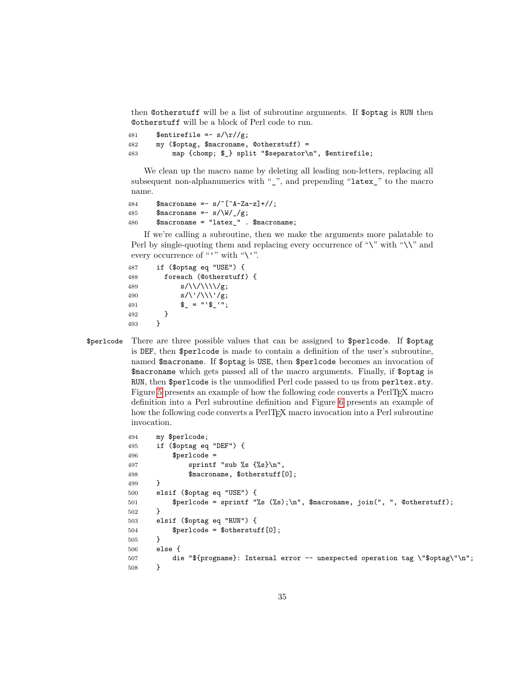<span id="page-34-0"></span>then @otherstuff will be a list of subroutine arguments. If \$optag is RUN then @otherstuff will be a block of Perl code to run.

481 \$entirefile =~  $s/\rceil / g$ ; 482 my (\$optag, \$macroname, @otherstuff) = 483 map {chomp; \$\_} split "\$separator\n", \$entirefile;

We clean up the macro name by deleting all leading non-letters, replacing all subsequent non-alphanumerics with  $\frac{u}{v}$ , and prepending "latex\_" to the macro name.

```
484 $macroname = \sim s/\text{A-Za-z} +//;
485 $macroname =~ s/\W/g;
486 $macroname = "latex_" . $macroname;
```
If we're calling a subroutine, then we make the arguments more palatable to Perl by single-quoting them and replacing every occurrence of "\" with "\\" and every occurrence of "'" with " $\Upsilon$ ".

```
487 if ($optag eq "USE") {
488 foreach (@otherstuff) {
489 s/\sqrt{\11/\sqrt{g}};
490 s/\langle\langle\langle\rangle|/|g;491 \qquad \qquad \qquad \qquad \qquad \qquad \qquad \qquad \qquad \qquad \qquad \qquad \qquad \qquad \qquad \qquad \qquad \qquad \qquad \qquad \qquad \qquad \qquad \qquad \qquad \qquad \qquad \qquad \qquad \qquad \qquad \qquad \qquad \qquad \qquad \qquad \qquad \qquad \qquad \qquad \qquad \qquad \qquad \qquad \qquad \qquad \qquad \qquad 492 }<br>493 }
493 }
```
\$perlcode There are three possible values that can be assigned to \$perlcode. If \$optag is DEF, then \$perlcode is made to contain a definition of the user's subroutine, named \$macroname. If \$optag is USE, then \$perlcode becomes an invocation of \$macroname which gets passed all of the macro arguments. Finally, if \$optag is RUN, then \$perlcode is the unmodified Perl code passed to us from perltex.sty. Figure [5](#page-35-0) presents an example of how the following code converts a PerlTEX macro definition into a Perl subroutine definition and Figure [6](#page-35-1) presents an example of how the following code converts a PerlT<sub>E</sub>X macro invocation into a Perl subroutine invocation.

```
494 my $perlcode;
495 if ($optag eq "DEF") {
496 $perlcode =497 sprintf "sub %s \{\$\mathrm{s}\}\",
498 $macroname, $otherstuff[0];
499 }
500 elsif ($optag eq "USE") {
501 $perlcode = sprintf "%s (%s);\n", $macroname, join(", ", @otherstuff);
502 }
503 elsif ($optag eq "RUN") {
504 $perlcode = $otherstuff[0];
505 }
506 else {
507 die "${progname}: Internal error -- unexpected operation tag \"$optag\"\n";
508 }
```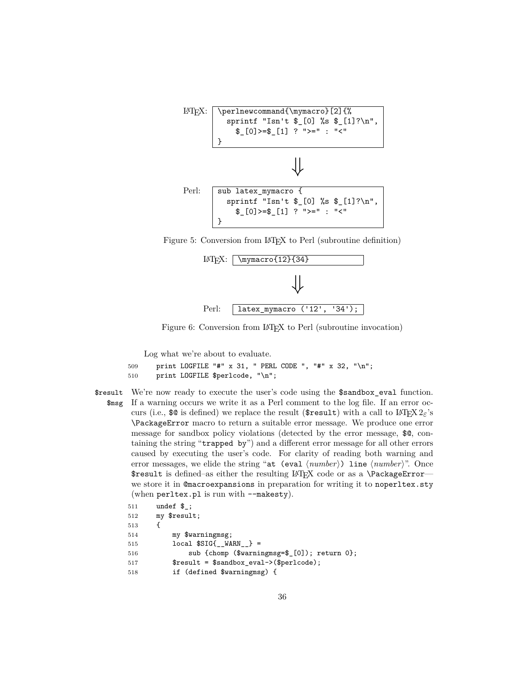

Figure 5: Conversion from LATEX to Perl (subroutine definition)

<span id="page-35-0"></span>

<span id="page-35-1"></span>Figure 6: Conversion from L<sup>AT</sup>EX to Perl (subroutine invocation)

Log what we're about to evaluate.

```
509 print LOGFILE "#" x 31, " PERL CODE ", "#" x 32, "\n";
510 print LOGFILE $perlcode, "\n";
```
\$result We're now ready to execute the user's code using the \$sandbox\_eval function. \$msg If a warning occurs we write it as a Perl comment to the log file. If an error occurs (i.e.,  $\circ$  is defined) we replace the result ( $\circ$ result) with a call to LAT<sub>E</sub>X 2<sub>ε</sub>'s \PackageError macro to return a suitable error message. We produce one error message for sandbox policy violations (detected by the error message, \$@, containing the string "trapped by") and a different error message for all other errors caused by executing the user's code. For clarity of reading both warning and error messages, we elide the string "at (eval  $\langle number \rangle$ ) line  $\langle number \rangle$ ". Once \$result is defined–as either the resulting LATEX code or as a \PackageError we store it in @macroexpansions in preparation for writing it to noperltex.sty (when perltex.pl is run with --makesty).

| 511 | undef $\$ ;                                  |
|-----|----------------------------------------------|
| 512 | my \$result;                                 |
| 513 |                                              |
| 514 | my \$warningmsg;                             |
| 515 | $local$ $$SIG{$ _WARN _ } =                  |
| 516 | sub {chomp (\$warningmsg=\$_[0]); return 0}; |
| 517 | \$result = \$sandbox_eval->(\$perlcode);     |
| 518 | if (defined \$warningmsg) {                  |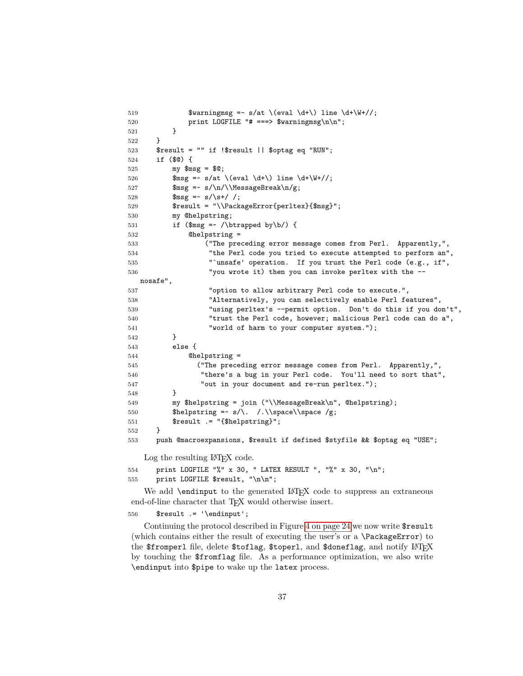```
519 \text{Swarningmsg} = \text{S/at} \text{ (eval } \d+\text{) line } \d+\W+//;520 print LOGFILE "# ===> $warningmsg\n\n";
521 }
522 }
523 $result = "" if !$result || $optag eq "RUN";
524 if ($@) {
525 my $msg = $@;
526 \text{Smsg} = \text{s/at} \text{eval } \d+\text{)} line \d+\W+/;527 \text{Smsg} = \frac{\n}{\NessageBreak\n}{g};528 \text{Smsg} = \frac{\text{s}}{\text{s} + \frac{\text{m}}{\text{s}}}529 $result = "\\PackageError{perltex}{$msg}";
530 my @helpstring;
531 if ($msg = \{\boldsymbol\lambda\} \ {
532 @helpstring =
533 ("The preceding error message comes from Perl. Apparently,",
534 "the Perl code you tried to execute attempted to perform an",
535 "`unsafe' operation. If you trust the Perl code (e.g., if",
536 "you wrote it) then you can invoke perltex with the --
  nosafe",
537 "option to allow arbitrary Perl code to execute.",
538 "Alternatively, you can selectively enable Perl features",
539 "using perltex's --permit option. Don't do this if you don't",
540 "trust the Perl code, however; malicious Perl code can do a",
541 "world of harm to your computer system.");
542 }
543 else {
544 @helpstring =
545 ("The preceding error message comes from Perl. Apparently,",
546 "there's a bug in your Perl code. You'll need to sort that",
547 "out in your document and re-run perltex.");
548 }
549 my $helpstring = join ("\\MessageBreak\n", @helpstring);
550 $helpstring =~ s/\. /.\\space\\space /g;
551 $result .= "{$helpstring}";
552 }
553 push @macroexpansions, $result if defined $styfile && $optag eq "USE";
```
Log the resulting  $\text{LFT}X$  code.

```
554 print LOGFILE "%" x 30, " LATEX RESULT ", "%" x 30, "\n";
555 print LOGFILE $result, "\n\n";
```
We add  $\end{math}$  bendinput to the generated  $\mathbb{F}X$  code to suppress an extraneous end-of-line character that T<sub>E</sub>X would otherwise insert.

556  $$result := '\endinput';$ 

Continuing the protocol described in Figure [4 on page 24](#page-23-0) we now write \$result (which contains either the result of executing the user's or a \PackageError) to the \$fromperl file, delete \$toflag, \$toperl, and \$doneflag, and notify LATEX by touching the \$fromflag file. As a performance optimization, we also write \endinput into \$pipe to wake up the latex process.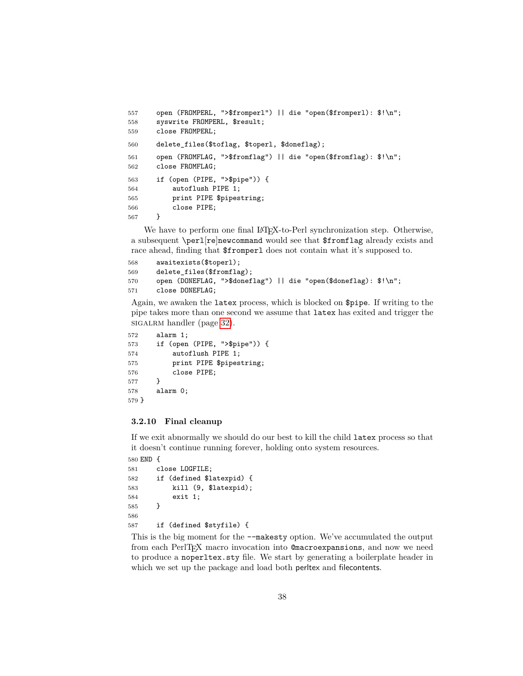```
557 open (FROMPERL, ">$fromperl") || die "open($fromperl): $!\n";
558 syswrite FROMPERL, $result;
559 close FROMPERL;
560 delete_files($toflag, $toperl, $doneflag);
561 open (FROMFLAG, ">$fromflag") || die "open($fromflag): $!\n";
562 close FROMFLAG;
563 if (open (PIPE, ">$pipe")) {
564 autoflush PIPE 1;
565 print PIPE $pipestring;
566 close PIPE;
567 }
```
We have to perform one final LAT<sub>E</sub>X-to-Perl synchronization step. Otherwise, a subsequent \perl[re]newcommand would see that \$fromflag already exists and race ahead, finding that \$fromperl does not contain what it's supposed to.

```
568 awaitexists($toperl);
569 delete_files($fromflag);
570 open (DONEFLAG, ">$doneflag") || die "open($doneflag): $!\n";
571 close DONEFLAG;
```
Again, we awaken the latex process, which is blocked on \$pipe. If writing to the pipe takes more than one second we assume that latex has exited and trigger the sigalrm handler (page [32\)](#page-31-0).

```
572 alarm 1;
573 if (open (PIPE, ">$pipe")) {
574 autoflush PIPE 1;
575 print PIPE $pipestring;
576 close PIPE;
577 }
578 alarm 0;
579 }
```
#### **3.2.10 Final cleanup**

If we exit abnormally we should do our best to kill the child latex process so that it doesn't continue running forever, holding onto system resources.

```
580 END {
581 close LOGFILE;
582 if (defined $latexpid) {
583 kill (9, $latexpid);
584 exit 1;
585 }
586
587 if (defined $styfile) {
```
This is the big moment for the --makesty option. We've accumulated the output from each PerlT<sub>E</sub>X macro invocation into Comacroexpansions, and now we need to produce a noperltex.sty file. We start by generating a boilerplate header in which we set up the package and load both perltex and filecontents.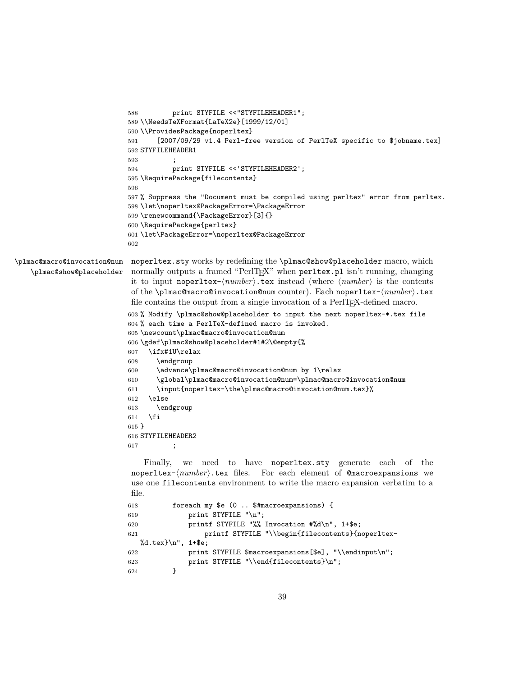```
588 print STYFILE <<"STYFILEHEADER1";
                           589 \\NeedsTeXFormat{LaTeX2e}[1999/12/01]
                           590 \\ProvidesPackage{noperltex}
                           591 [2007/09/29 v1.4 Perl-free version of PerlTeX specific to $jobname.tex]
                           592 STYFILEHEADER1
                           593 ;
                           594 print STYFILE <<'STYFILEHEADER2';
                           595 \RequirePackage{filecontents}
                           596
                           597 % Suppress the "Document must be compiled using perltex" error from perltex.
                           598 \let\noperltex@PackageError=\PackageError
                           599 \renewcommand{\PackageError}[3]{}
                           600 \RequirePackage{perltex}
                           601 \let\PackageError=\noperltex@PackageError
                           602
\plmac@macro@invocation@num
   \plmac@show@placeholder
                            noperltex.sty works by redefining the \plmac@show@placeholder macro, which
                            normally outputs a framed "PerlT<sub>E</sub>X" when perltex.pl isn't running, changing
                            it to input noperltex-\langle number \rangle.tex instead (where \langle number \rangle is the contents
                            of the \plmac@macro@invocation@num counter). Each noperltex-hnumberi.tex
                            file contains the output from a single invocation of a PerlTEX-defined macro.
                           603 % Modify \plmac@show@placeholder to input the next noperltex-*.tex file
                           604 % each time a PerlTeX-defined macro is invoked.
                           605 \newcount\plmac@macro@invocation@num
                           606 \gdef\plmac@show@placeholder#1#2\@empty{%
                           607 \ifx#1U\relax
                           608 \endgroup
                           609 \advance\plmac@macro@invocation@num by 1\relax
                           610 \global\plmac@macro@invocation@num=\plmac@macro@invocation@num
                           611 \input{noperltex-\the\plmac@macro@invocation@num.tex}%
                           612 \else
                           613 \endgroup
                           614 \fi
                           615 }
                           616 STYFILEHEADER2
                           617 ;
                               Finally, we need to have noperltex.sty generate each of the
                            noperltex-\langle number \rangle.tex files. For each element of @macroexpansions we
                            use one filecontents environment to write the macro expansion verbatim to a
                            file.
                           618 foreach my $e (0 .. $#macroexpansions) {
                           619 print STYFILE "\n";
                           620 printf STYFILE "%% Invocation #%d\n", 1+$e;
                           621 printf STYFILE "\\begin{filecontents}{noperltex-
                              %d.tex}\n", 1+$e;
                           622 print STYFILE $macroexpansions[$e], "\\endinput\n";
                           623 print STYFILE "\\end{filecontents}\n";
                           624 }
```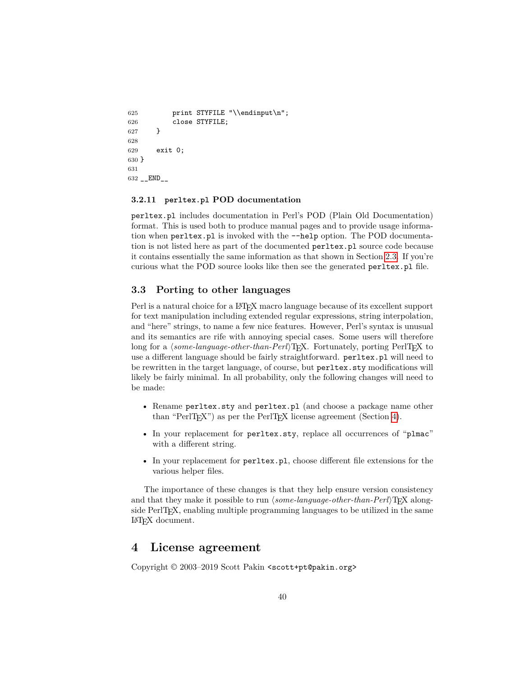```
625 print STYFILE "\\endinput\n";
626 close STYFILE;
627 }
628
629 exit 0;
630 }
631
632 __END__
```
#### **3.2.11 perltex.pl POD documentation**

perltex.pl includes documentation in Perl's POD (Plain Old Documentation) format. This is used both to produce manual pages and to provide usage information when perltex.pl is invoked with the --help option. The POD documentation is not listed here as part of the documented perltex.pl source code because it contains essentially the same information as that shown in Section [2.3.](#page-5-0) If you're curious what the POD source looks like then see the generated perltex.pl file.

### <span id="page-39-0"></span>**3.3 Porting to other languages**

Perl is a natural choice for a LATEX macro language because of its excellent support for text manipulation including extended regular expressions, string interpolation, and "here" strings, to name a few nice features. However, Perl's syntax is unusual and its semantics are rife with annoying special cases. Some users will therefore long for a *(some-language-other-than-Perl*)T<sub>E</sub>X. Fortunately, porting PerlT<sub>E</sub>X to use a different language should be fairly straightforward. perltex.pl will need to be rewritten in the target language, of course, but perltex.sty modifications will likely be fairly minimal. In all probability, only the following changes will need to be made:

- Rename perltex.sty and perltex.pl (and choose a package name other than "PerlT<sub>E</sub>X") as per the PerlT<sub>E</sub>X license agreement (Section [4\)](#page-39-1).
- In your replacement for perltex.sty, replace all occurrences of "plmac" with a different string.
- In your replacement for perltex.pl, choose different file extensions for the various helper files.

The importance of these changes is that they help ensure version consistency and that they make it possible to run *(some-language-other-than-Perl*) $T_{\text{F}}X$  alongside PerlTEX, enabling multiple programming languages to be utilized in the same LATEX document.

## <span id="page-39-1"></span>**4 License agreement**

Copyright © 2003–2019 Scott Pakin <scott+pt@pakin.org>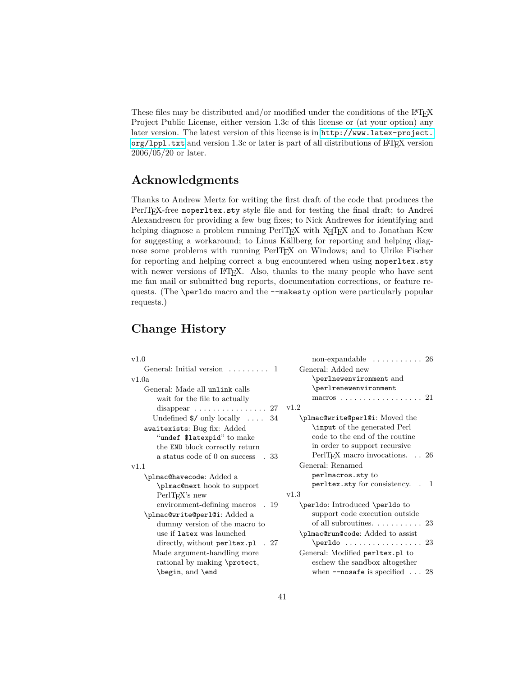These files may be distributed and/or modified under the conditions of the  $\text{LATE}$ Project Public License, either version 1.3c of this license or (at your option) any later version. The latest version of this license is in [http://www.latex-project.](http://www.latex-project.org/lppl.txt) org/1pp1.txt and version 1.3c or later is part of all distributions of LATEX version 2006/05/20 or later.

## **Acknowledgments**

Thanks to Andrew Mertz for writing the first draft of the code that produces the PerlT<sub>EX</sub>-free noperltex.sty style file and for testing the final draft; to Andrei Alexandrescu for providing a few bug fixes; to Nick Andrewes for identifying and helping diagnose a problem running PerlT<sub>EX</sub> with X<sub>T</sub>T<sub>EX</sub> and to Jonathan Kew for suggesting a workaround; to Linus Källberg for reporting and helping diagnose some problems with running PerlT<sub>E</sub>X on Windows; and to Ulrike Fischer for reporting and helping correct a bug encountered when using noperltex.sty with newer versions of IATEX. Also, thanks to the many people who have sent me fan mail or submitted bug reports, documentation corrections, or feature requests. (The \perldo macro and the --makesty option were particularly popular requests.)

## **Change History**

| v1.0                                       | non-expandable $\ldots \ldots \ldots 26$      |
|--------------------------------------------|-----------------------------------------------|
| General: Initial version $\ldots \ldots 1$ | General: Added new                            |
| v1.0a                                      | \perlnewenvironment and                       |
| General: Made all unlink calls             | \perlrenewenvironment                         |
| wait for the file to actually              | macros 21                                     |
| disappear $\ldots \ldots \ldots \ldots 27$ | v1.2                                          |
| Undefined $\$/$ only locally  34           | \plmac@write@perl@i: Moved the                |
| awaitexists: Bug fix: Added                | \input of the generated Perl                  |
| "undef \$latexpid" to make                 | code to the end of the routine                |
| the END block correctly return             | in order to support recursive                 |
| a status code of 0 on success<br>. 33      | PerlTEX macro invocations. 26                 |
| v1.1                                       | General: Renamed                              |
| <b>\plmac@havecode:</b> Added a            | perlmacros.sty to                             |
| \plmac@next hook to support                | perltex.sty for consistency. . 1              |
| $PerlTrX$ 's new                           | v1.3                                          |
| environment-defining macros<br>. 19        | \perldo: Introduced \perldo to                |
| \plmac@write@perl@i: Added a               | support code execution outside                |
| dummy version of the macro to              | of all subroutines. $\ldots \ldots \ldots 23$ |
| use if latex was launched                  | \plmac@run@code: Added to assist              |
| directly, without perltex.pl . 27          | $\perp$ 23                                    |
| Made argument-handling more                | General: Modified perltex.pl to               |
| rational by making \protect,               | eschew the sandbox altogether                 |
| \begin, and \end                           | when $\neg$ -nosafe is specified $\dots$ 28   |
|                                            |                                               |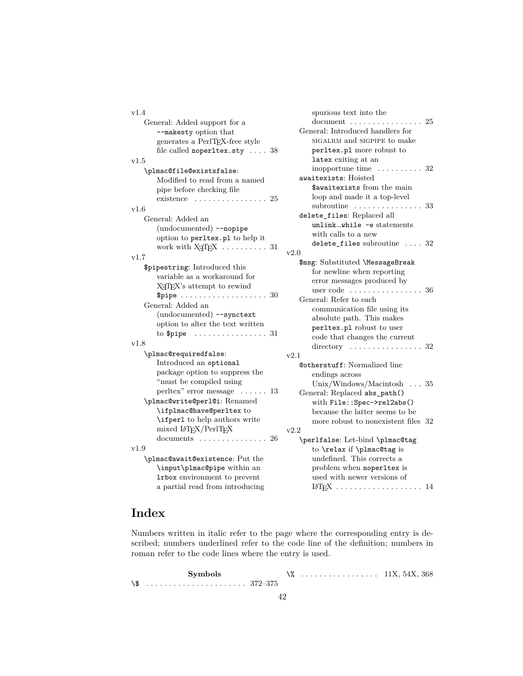| v1.4                                                  |
|-------------------------------------------------------|
| General: Added support for a                          |
| --makesty option that                                 |
| generates a PerlTEX-free style                        |
| file called noperltex.sty $\ldots$ 38                 |
| v1.5                                                  |
| \plmac@file@existsfalse:                              |
| Modified to read from a named                         |
| pipe before checking file                             |
| existence<br>25<br>.                                  |
| v1.6                                                  |
| General: Added an                                     |
| (undocumented) --nopipe                               |
| option to perltex.pl to help it                       |
| work with X <sub>T</sub> T <sub>F</sub> X  31         |
| v1.7                                                  |
| \$pipestring: Introduced this                         |
| variable as a workaround for                          |
| X <sub>H</sub> T <sub>F</sub> X's attempt to rewind   |
| \$pipe $\ldots \ldots \ldots \ldots \ldots \ldots 30$ |
| General: Added an                                     |
| (undocumented) --synctext                             |
| option to alter the text written                      |
| to \$pipe<br>. 31<br>$\overline{a}$                   |
| v1.8                                                  |
| \plmac@requiredfalse:                                 |
| Introduced an optional                                |
| package option to suppress the                        |
| "must be compiled using                               |
| perltex" error message<br>. 13<br>$\cdots$            |
| \plmac@write@perl@i: Renamed                          |
| \ifplmac@have@perltex to                              |
| \ifper1 to help authors write                         |
| mixed $LAT$ <sub>F</sub> X/PerlT <sub>E</sub> X       |
| documents $\ldots \ldots \ldots \ldots 26$            |
| v1.9                                                  |
| \plmac@await@existence: Put the                       |
| \input\plmac@pipe within an                           |
| Irbox environment to prevent                          |
| a partial read from introducing                       |

| spurious text into the                         |        |
|------------------------------------------------|--------|
| document                                       | . . 25 |
| General: Introduced handlers for               |        |
| SIGALRM and SIGPIPE to make                    |        |
| perltex.pl more robust to                      |        |
| latex exiting at an                            |        |
| inopportune time<br>$\ldots$ 32                |        |
| awaitexists: Hoisted                           |        |
| $\$$ awaitexists from the main                 |        |
| loop and made it a top-level                   |        |
| subroutine $\ldots \ldots \ldots \ldots 33$    |        |
| delete_files: Replaced all                     |        |
| unlinkwhile -e statements                      |        |
| with calls to a new                            |        |
| delete_files subroutine  32                    |        |
| v2.0                                           |        |
| \$msg: Substituted \MessageBreak               |        |
| for newline when reporting                     |        |
| error messages produced by                     |        |
| user $code \dots \dots \dots$<br>$\ldots$ . 36 |        |
| General: Refer to each                         |        |
| communication file using its                   |        |
| absolute path. This makes                      |        |
| perltex.pl robust to user                      |        |
| code that changes the current                  |        |
| directory $\ldots \ldots \ldots \ldots 32$     |        |
| v2.1                                           |        |
| <b>@otherstuff:</b> Normalized line            |        |
| endings across                                 |        |
| Unix/Windows/Macintosh<br>$\ldots$ 35          |        |
| General: Replaced abs_path()                   |        |
| with File::Spec->rel2abs()                     |        |
| because the latter seems to be                 |        |
| more robust to nonexistent files 32            |        |
| v2.2                                           |        |
| \perlfalse: Let-bind \plmac@tag                |        |
| to \relax if \plmac@tag is                     |        |
| undefined. This corrects a                     |        |
| problem when noperltex is                      |        |
| used with newer versions of                    |        |
|                                                | 14     |

## **Index**

Numbers written in italic refer to the page where the corresponding entry is described; numbers underlined refer to the code line of the definition; numbers in roman refer to the code lines where the entry is used.

|     | Symbols |  | $\ldots \ldots \ldots \ldots \ldots \ldots 11X, 54X, 368$ |  |
|-----|---------|--|-----------------------------------------------------------|--|
| \\$ |         |  |                                                           |  |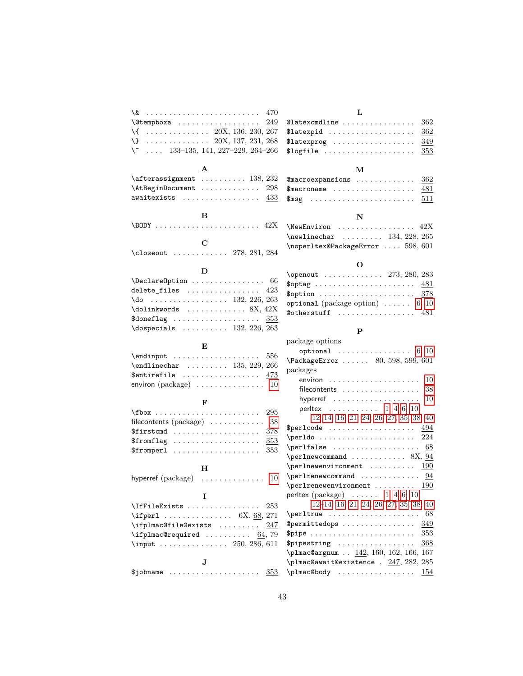| \&<br>470                                                     | L                                                                                     |
|---------------------------------------------------------------|---------------------------------------------------------------------------------------|
| 249                                                           | Clatexcmdline<br>362                                                                  |
| $\{ \ldots \ldots \ldots \ldots \ldots \}$ 20X, 136, 230, 267 | \$latexpid<br>362                                                                     |
|                                                               | 349                                                                                   |
| \^<br>$\ldots$ 133–135, 141, 227–229, 264–266                 | \$logfile $\ldots \ldots \ldots \ldots \ldots$<br>353                                 |
|                                                               |                                                                                       |
| A                                                             | м                                                                                     |
|                                                               | Cmacroexpansions<br>362                                                               |
| \AtBeginDocument<br>298                                       | 481                                                                                   |
| awaitexists<br>433                                            | 511                                                                                   |
|                                                               |                                                                                       |
| в                                                             | N                                                                                     |
|                                                               | \NewEnviron<br>42X                                                                    |
| C                                                             | $\neq$ linechar  134, 228, 265                                                        |
| \closeout  278, 281, 284                                      | \noperltex@PackageError  598, 601                                                     |
|                                                               |                                                                                       |
| D                                                             | О                                                                                     |
| $\verb+\DeclareOption + \verb+\+.\dots + \verb+\+.\ 66$       | $\open{1} 273, 280, 283$                                                              |
| delete_files<br>423                                           | 481                                                                                   |
| $\{do \dots \dots \dots \dots \dots \ 132, 226, 263$          | \$option $378$                                                                        |
|                                                               | optional (package option) $\ldots \ldots$ 6, 10                                       |
| $\texttt{\$doneflag}$<br>353                                  | Cotherstuff<br>481                                                                    |
| $\text{logpecials}$ 132, 226, 263                             | Ρ                                                                                     |
|                                                               | package options                                                                       |
|                                                               |                                                                                       |
| E                                                             |                                                                                       |
| 556                                                           | optional $\ldots \ldots \ldots \ldots \ldots 6, 10$                                   |
| $\end{line}$ 135, 229, 266                                    | \PackageError  80, 598, 599, 601                                                      |
| $$$ entirefile<br>473                                         | packages                                                                              |
|                                                               | $environ$<br>10                                                                       |
|                                                               | 38<br>$filecontents \dots \dots \dots \dots \dots \dots$                              |
| F                                                             | 10                                                                                    |
| 295                                                           | perltex 1, 4–6, 10,                                                                   |
| filecontents (package)<br>38                                  | $12-14, 16, 21, 24, 26, 27, 35, 38, 40$                                               |
| $$firstcmd$<br>378                                            | 494                                                                                   |
| 353<br>$$from flag$                                           | $\perp$<br>224                                                                        |
| 353<br>$$from per1$                                           | $\perp$<br>68                                                                         |
|                                                               | \perlnewcommand  8X, $94$<br>190                                                      |
| н                                                             | $\perp$<br>$\perp$ $\perp$ $\perp$ $\ldots$ $\ldots$ $\ldots$ $\perp$ $\perp$ $\perp$ |
| hyperref $(\text{package}) \dots \dots \dots \dots$<br>10     | \perlrenewenvironment<br>-190                                                         |
| I                                                             | perltex (package) $\ldots$ 1, 4–6, 10,                                                |
| \IfFileExists<br>253                                          | $12-14, 16, 21, 24, 26, 27, 35, 38, 40$                                               |
| \ifperl $6X, 68, 271$                                         | $\perp$<br>68                                                                         |
| \ifplmac@file@exists<br>247                                   | Opermittedops<br>349                                                                  |
| \ifplmac@required $64, 79$                                    | 353                                                                                   |
| \input  250, 286, 611                                         | \$pipestring<br>368                                                                   |
|                                                               | \plmac@argnum  142, 160, 162, 166, 167                                                |
| J                                                             | $\phi$ 1mac@await@existence . $247, 282, 285$                                         |
| \$jobname $\ldots \ldots \ldots \ldots \ldots \ldots$<br>353  | \plmac@body<br>154                                                                    |